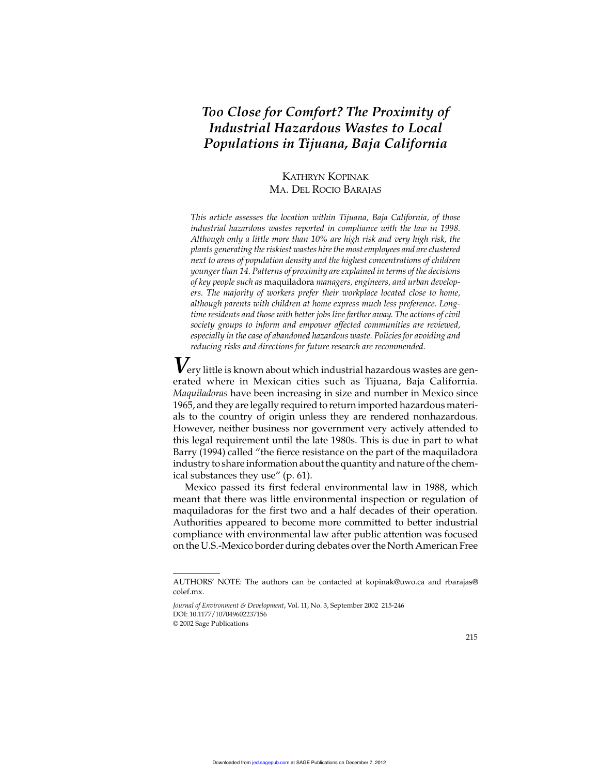# *Too Close for Comfort? The Proximity of Industrial Hazardous Wastes to Local Populations in Tijuana, Baja California*

# KATHRYN KOPINAK MA. DEL ROCIO BARAJAS

*This article assesses the location within Tijuana, Baja California, of those industrial hazardous wastes reported in compliance with the law in 1998. Although only a little more than 10% are high risk and very high risk, the plants generating the riskiest wastes hire the most employees and are clustered next to areas of population density and the highest concentrations of children younger than 14. Patterns of proximity are explained in terms of the decisions of key people such as* maquiladora *managers, engineers, and urban developers. The majority of workers prefer their workplace located close to home, although parents with children at home express much less preference. Longtime residents and those with better jobs live farther away. The actions of civil society groups to inform and empower affected communities are reviewed, especially in the case of abandoned hazardous waste. Policies for avoiding and reducing risks and directions for future research are recommended.*

*V*ery little is known about which industrial hazardous wastes are generated where in Mexican cities such as Tijuana, Baja California. *Maquiladoras* have been increasing in size and number in Mexico since 1965, and they are legally required to return imported hazardous materials to the country of origin unless they are rendered nonhazardous. However, neither business nor government very actively attended to this legal requirement until the late 1980s. This is due in part to what Barry (1994) called "the fierce resistance on the part of the maquiladora industry to share information about the quantity and nature of the chemical substances they use" (p. 61).

Mexico passed its first federal environmental law in 1988, which meant that there was little environmental inspection or regulation of maquiladoras for the first two and a half decades of their operation. Authorities appeared to become more committed to better industrial compliance with environmental law after public attention was focused on the U.S.-Mexico border during debates over the North American Free

AUTHORS' NOTE: The authors can be contacted at kopinak@uwo.ca and rbarajas@ colef.mx.

*Journal of Environment & Development*, Vol. 11, No. 3, September 2002 215-246 DOI: 10.1177/107049602237156 © 2002 Sage Publications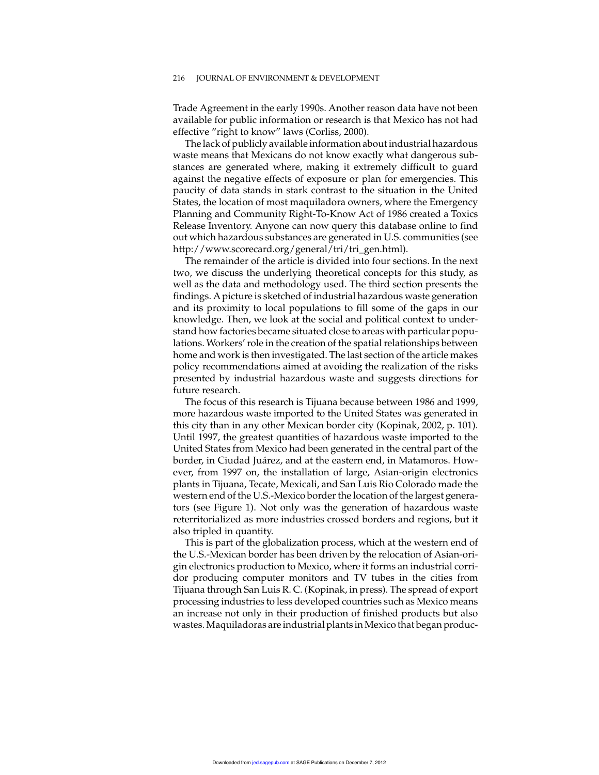Trade Agreement in the early 1990s. Another reason data have not been available for public information or research is that Mexico has not had effective "right to know" laws (Corliss, 2000).

The lack of publicly available information about industrial hazardous waste means that Mexicans do not know exactly what dangerous substances are generated where, making it extremely difficult to guard against the negative effects of exposure or plan for emergencies. This paucity of data stands in stark contrast to the situation in the United States, the location of most maquiladora owners, where the Emergency Planning and Community Right-To-Know Act of 1986 created a Toxics Release Inventory. Anyone can now query this database online to find out which hazardous substances are generated in U.S. communities (see http://www.scorecard.org/general/tri/tri\_gen.html).

The remainder of the article is divided into four sections. In the next two, we discuss the underlying theoretical concepts for this study, as well as the data and methodology used. The third section presents the findings. A picture is sketched of industrial hazardous waste generation and its proximity to local populations to fill some of the gaps in our knowledge. Then, we look at the social and political context to understand how factories became situated close to areas with particular populations. Workers' role in the creation of the spatial relationships between home and work is then investigated. The last section of the article makes policy recommendations aimed at avoiding the realization of the risks presented by industrial hazardous waste and suggests directions for future research.

The focus of this research is Tijuana because between 1986 and 1999, more hazardous waste imported to the United States was generated in this city than in any other Mexican border city (Kopinak, 2002, p. 101). Until 1997, the greatest quantities of hazardous waste imported to the United States from Mexico had been generated in the central part of the border, in Ciudad Juárez, and at the eastern end, in Matamoros. However, from 1997 on, the installation of large, Asian-origin electronics plants in Tijuana, Tecate, Mexicali, and San Luis Rio Colorado made the western end of the U.S.-Mexico border the location of the largest generators (see Figure 1). Not only was the generation of hazardous waste reterritorialized as more industries crossed borders and regions, but it also tripled in quantity.

This is part of the globalization process, which at the western end of the U.S.-Mexican border has been driven by the relocation of Asian-origin electronics production to Mexico, where it forms an industrial corridor producing computer monitors and TV tubes in the cities from Tijuana through San Luis R. C. (Kopinak, in press). The spread of export processing industries to less developed countries such as Mexico means an increase not only in their production of finished products but also wastes. Maquiladoras are industrial plants in Mexico that began produc-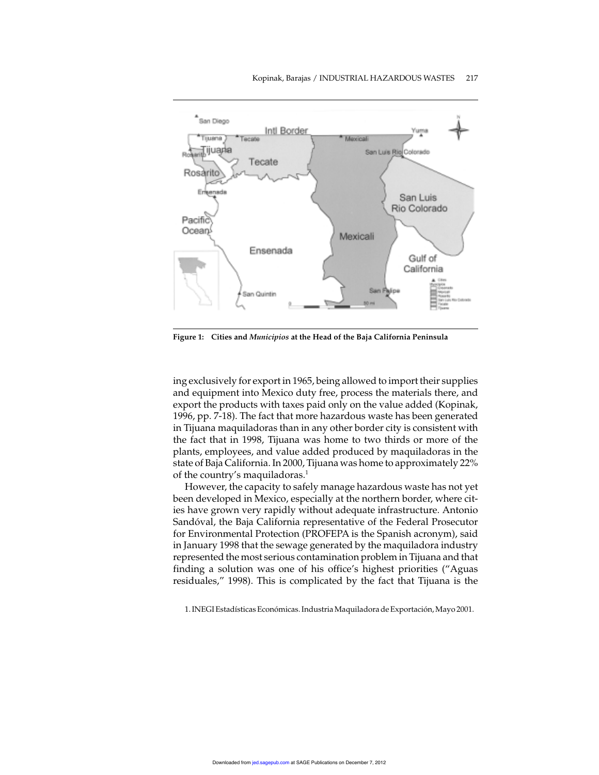

**Figure 1: Cities and** *Municipios* **at the Head of the Baja California Peninsula**

ing exclusively for export in 1965, being allowed to import their supplies and equipment into Mexico duty free, process the materials there, and export the products with taxes paid only on the value added (Kopinak, 1996, pp. 7-18). The fact that more hazardous waste has been generated in Tijuana maquiladoras than in any other border city is consistent with the fact that in 1998, Tijuana was home to two thirds or more of the plants, employees, and value added produced by maquiladoras in the state of Baja California. In 2000, Tijuana was home to approximately 22% of the country's maquiladoras.<sup>1</sup>

However, the capacity to safely manage hazardous waste has not yet been developed in Mexico, especially at the northern border, where cities have grown very rapidly without adequate infrastructure. Antonio Sandóval, the Baja California representative of the Federal Prosecutor for Environmental Protection (PROFEPA is the Spanish acronym), said in January 1998 that the sewage generated by the maquiladora industry represented the most serious contamination problem in Tijuana and that finding a solution was one of his office's highest priorities ("Aguas residuales," 1998). This is complicated by the fact that Tijuana is the

1. INEGI Estadísticas Económicas. Industria Maquiladora de Exportación, Mayo 2001.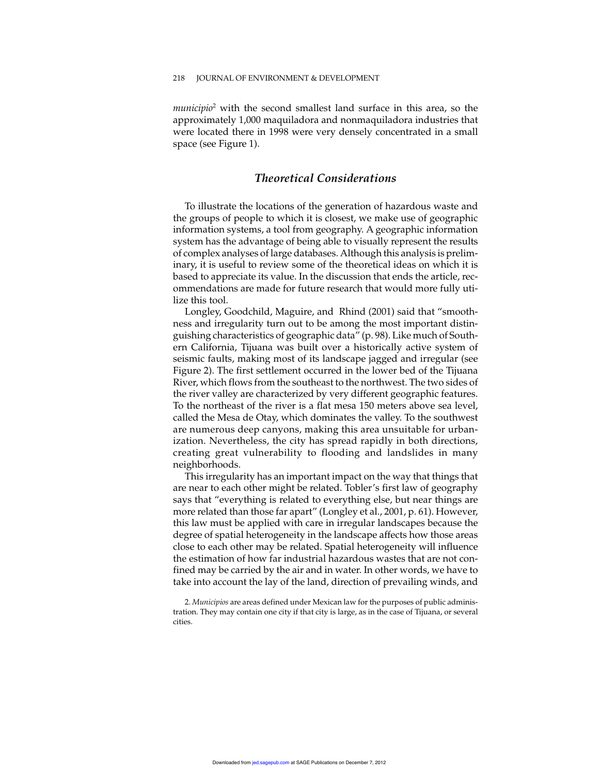*municipio*<sup>2</sup> with the second smallest land surface in this area, so the approximately 1,000 maquiladora and nonmaquiladora industries that were located there in 1998 were very densely concentrated in a small space (see Figure 1).

# *Theoretical Considerations*

To illustrate the locations of the generation of hazardous waste and the groups of people to which it is closest, we make use of geographic information systems, a tool from geography. A geographic information system has the advantage of being able to visually represent the results of complex analyses of large databases. Although this analysis is preliminary, it is useful to review some of the theoretical ideas on which it is based to appreciate its value. In the discussion that ends the article, recommendations are made for future research that would more fully utilize this tool.

Longley, Goodchild, Maguire, and Rhind (2001) said that "smoothness and irregularity turn out to be among the most important distinguishing characteristics of geographic data" (p. 98). Like much of Southern California, Tijuana was built over a historically active system of seismic faults, making most of its landscape jagged and irregular (see Figure 2). The first settlement occurred in the lower bed of the Tijuana River, which flows from the southeast to the northwest. The two sides of the river valley are characterized by very different geographic features. To the northeast of the river is a flat mesa 150 meters above sea level, called the Mesa de Otay, which dominates the valley. To the southwest are numerous deep canyons, making this area unsuitable for urbanization. Nevertheless, the city has spread rapidly in both directions, creating great vulnerability to flooding and landslides in many neighborhoods.

This irregularity has an important impact on the way that things that are near to each other might be related. Tobler's first law of geography says that "everything is related to everything else, but near things are more related than those far apart" (Longley et al., 2001, p. 61). However, this law must be applied with care in irregular landscapes because the degree of spatial heterogeneity in the landscape affects how those areas close to each other may be related. Spatial heterogeneity will influence the estimation of how far industrial hazardous wastes that are not confined may be carried by the air and in water. In other words, we have to take into account the lay of the land, direction of prevailing winds, and

2. *Municipios* are areas defined under Mexican law for the purposes of public administration. They may contain one city if that city is large, as in the case of Tijuana, or several cities.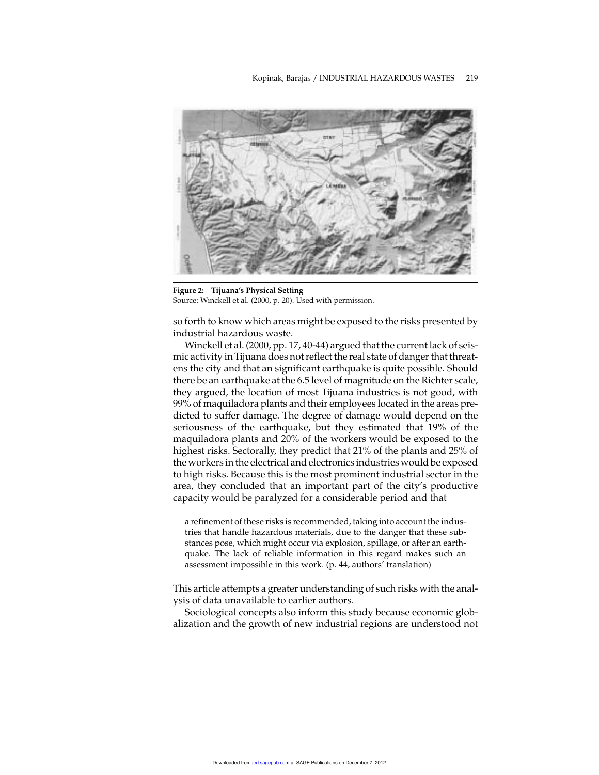

**Figure 2: Tijuana's Physical Setting** Source: Winckell et al. (2000, p. 20). Used with permission.

so forth to know which areas might be exposed to the risks presented by industrial hazardous waste.

Winckell et al. (2000, pp. 17, 40-44) argued that the current lack of seismic activity in Tijuana does not reflect the real state of danger that threatens the city and that an significant earthquake is quite possible. Should there be an earthquake at the 6.5 level of magnitude on the Richter scale, they argued, the location of most Tijuana industries is not good, with 99% of maquiladora plants and their employees located in the areas predicted to suffer damage. The degree of damage would depend on the seriousness of the earthquake, but they estimated that 19% of the maquiladora plants and 20% of the workers would be exposed to the highest risks. Sectorally, they predict that 21% of the plants and 25% of the workers in the electrical and electronics industries would be exposed to high risks. Because this is the most prominent industrial sector in the area, they concluded that an important part of the city's productive capacity would be paralyzed for a considerable period and that

a refinement of these risks is recommended, taking into account the industries that handle hazardous materials, due to the danger that these substances pose, which might occur via explosion, spillage, or after an earthquake. The lack of reliable information in this regard makes such an assessment impossible in this work. (p. 44, authors' translation)

This article attempts a greater understanding of such risks with the analysis of data unavailable to earlier authors.

Sociological concepts also inform this study because economic globalization and the growth of new industrial regions are understood not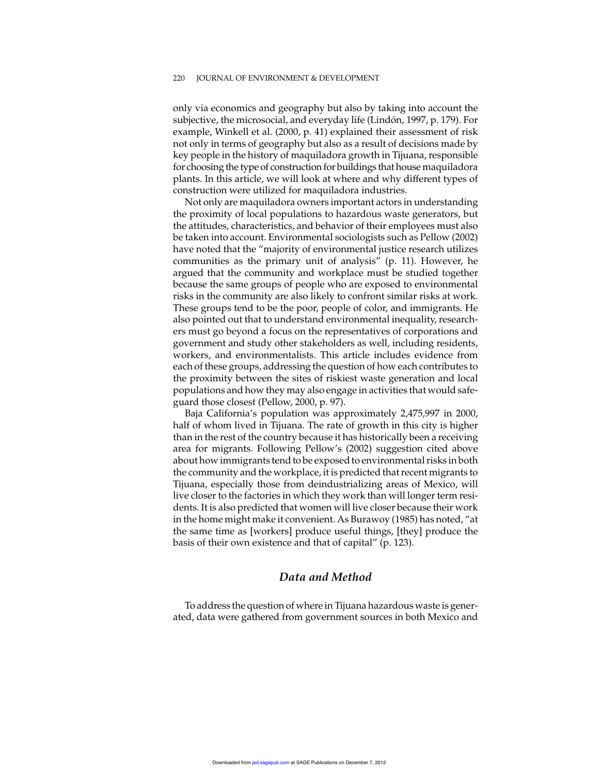only via economics and geography but also by taking into account the subjective, the microsocial, and everyday life (Lindón, 1997, p. 179). For example, Winkell et al. (2000, p. 41) explained their assessment of risk not only in terms of geography but also as a result of decisions made by key people in the history of maquiladora growth in Tijuana, responsible for choosing the type of construction for buildings that house maquiladora plants. In this article, we will look at where and why different types of construction were utilized for maquiladora industries.

Not only are maquiladora owners important actors in understanding the proximity of local populations to hazardous waste generators, but the attitudes, characteristics, and behavior of their employees must also be taken into account. Environmental sociologists such as Pellow (2002) have noted that the "majority of environmental justice research utilizes communities as the primary unit of analysis" (p. 11). However, he argued that the community and workplace must be studied together because the same groups of people who are exposed to environmental risks in the community are also likely to confront similar risks at work. These groups tend to be the poor, people of color, and immigrants. He also pointed out that to understand environmental inequality, researchers must go beyond a focus on the representatives of corporations and government and study other stakeholders as well, including residents, workers, and environmentalists. This article includes evidence from each of these groups, addressing the question of how each contributes to the proximity between the sites of riskiest waste generation and local populations and how they may also engage in activities that would safeguard those closest (Pellow, 2000, p. 97).

Baja California's population was approximately 2,475,997 in 2000, half of whom lived in Tijuana. The rate of growth in this city is higher than in the rest of the country because it has historically been a receiving area for migrants. Following Pellow's (2002) suggestion cited above about how immigrants tend to be exposed to environmental risks in both the community and the workplace, it is predicted that recent migrants to Tijuana, especially those from deindustrializing areas of Mexico, will live closer to the factories in which they work than will longer term residents. It is also predicted that women will live closer because their work in the home might make it convenient. As Burawoy (1985) has noted, "at the same time as [workers] produce useful things, [they] produce the basis of their own existence and that of capital" (p. 123).

# *Data and Method*

To address the question of where in Tijuana hazardous waste is generated, data were gathered from government sources in both Mexico and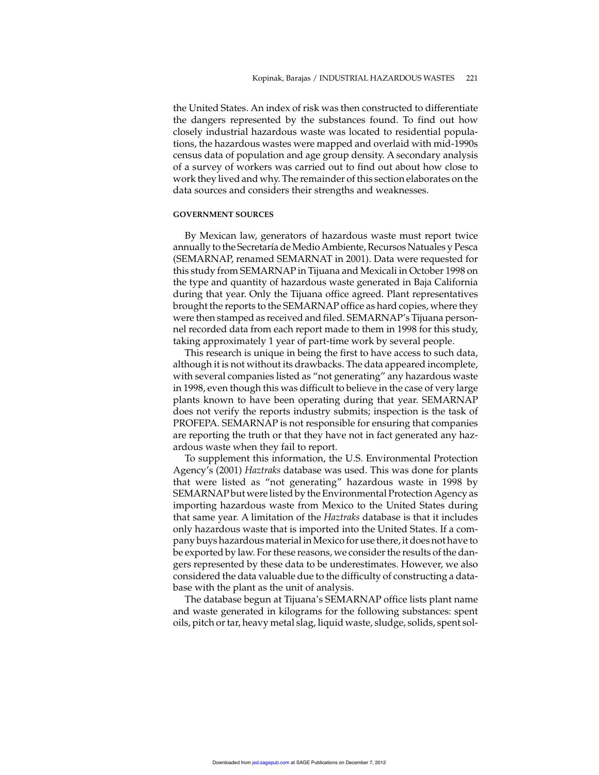the United States. An index of risk was then constructed to differentiate the dangers represented by the substances found. To find out how closely industrial hazardous waste was located to residential populations, the hazardous wastes were mapped and overlaid with mid-1990s census data of population and age group density. A secondary analysis of a survey of workers was carried out to find out about how close to work they lived and why. The remainder of this section elaborates on the data sources and considers their strengths and weaknesses.

### **GOVERNMENT SOURCES**

By Mexican law, generators of hazardous waste must report twice annually to the Secretaría de Medio Ambiente, Recursos Natuales y Pesca (SEMARNAP, renamed SEMARNAT in 2001). Data were requested for this study from SEMARNAP in Tijuana and Mexicali in October 1998 on the type and quantity of hazardous waste generated in Baja California during that year. Only the Tijuana office agreed. Plant representatives brought the reports to the SEMARNAP office as hard copies, where they were then stamped as received and filed. SEMARNAP's Tijuana personnel recorded data from each report made to them in 1998 for this study, taking approximately 1 year of part-time work by several people.

This research is unique in being the first to have access to such data, although it is not without its drawbacks. The data appeared incomplete, with several companies listed as "not generating" any hazardous waste in 1998, even though this was difficult to believe in the case of very large plants known to have been operating during that year. SEMARNAP does not verify the reports industry submits; inspection is the task of PROFEPA. SEMARNAP is not responsible for ensuring that companies are reporting the truth or that they have not in fact generated any hazardous waste when they fail to report.

To supplement this information, the U.S. Environmental Protection Agency's (2001) *Haztraks* database was used. This was done for plants that were listed as "not generating" hazardous waste in 1998 by SEMARNAP but were listed by the Environmental Protection Agency as importing hazardous waste from Mexico to the United States during that same year. A limitation of the *Haztraks* database is that it includes only hazardous waste that is imported into the United States. If a company buys hazardous material in Mexico for use there, it does not have to be exported by law. For these reasons, we consider the results of the dangers represented by these data to be underestimates. However, we also considered the data valuable due to the difficulty of constructing a database with the plant as the unit of analysis.

The database begun at Tijuana's SEMARNAP office lists plant name and waste generated in kilograms for the following substances: spent oils, pitch or tar, heavy metal slag, liquid waste, sludge, solids, spent sol-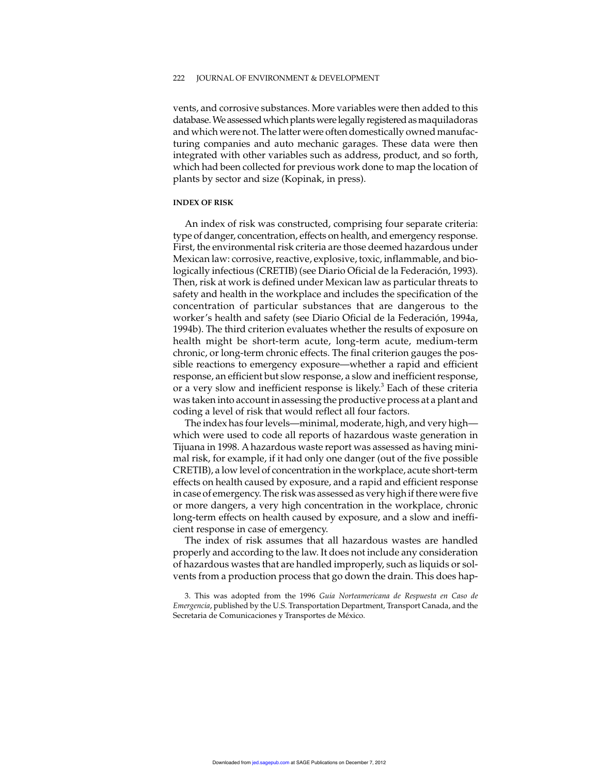vents, and corrosive substances. More variables were then added to this database. We assessed which plants were legally registered asmaquiladoras and which were not. The latter were often domestically owned manufacturing companies and auto mechanic garages. These data were then integrated with other variables such as address, product, and so forth, which had been collected for previous work done to map the location of plants by sector and size (Kopinak, in press).

### **INDEX OF RISK**

An index of risk was constructed, comprising four separate criteria: type of danger, concentration, effects on health, and emergency response. First, the environmental risk criteria are those deemed hazardous under Mexican law: corrosive, reactive, explosive, toxic, inflammable, and biologically infectious (CRETIB) (see Diario Oficial de la Federación, 1993). Then, risk at work is defined under Mexican law as particular threats to safety and health in the workplace and includes the specification of the concentration of particular substances that are dangerous to the worker's health and safety (see Diario Oficial de la Federación, 1994a, 1994b). The third criterion evaluates whether the results of exposure on health might be short-term acute, long-term acute, medium-term chronic, or long-term chronic effects. The final criterion gauges the possible reactions to emergency exposure—whether a rapid and efficient response, an efficient but slow response, a slow and inefficient response, or a very slow and inefficient response is likely.<sup>3</sup> Each of these criteria was taken into account in assessing the productive process at a plant and coding a level of risk that would reflect all four factors.

The index has four levels—minimal, moderate, high, and very high which were used to code all reports of hazardous waste generation in Tijuana in 1998. A hazardous waste report was assessed as having minimal risk, for example, if it had only one danger (out of the five possible CRETIB), a low level of concentration in the workplace, acute short-term effects on health caused by exposure, and a rapid and efficient response in case of emergency. The risk was assessed as very high if there were five or more dangers, a very high concentration in the workplace, chronic long-term effects on health caused by exposure, and a slow and inefficient response in case of emergency.

The index of risk assumes that all hazardous wastes are handled properly and according to the law. It does not include any consideration of hazardous wastes that are handled improperly, such as liquids or solvents from a production process that go down the drain. This does hap-

<sup>3.</sup> This was adopted from the 1996 *Guia Norteamericana de Respuesta en Caso de Emergencia*, published by the U.S. Transportation Department, Transport Canada, and the Secretaria de Comunicaciones y Transportes de México.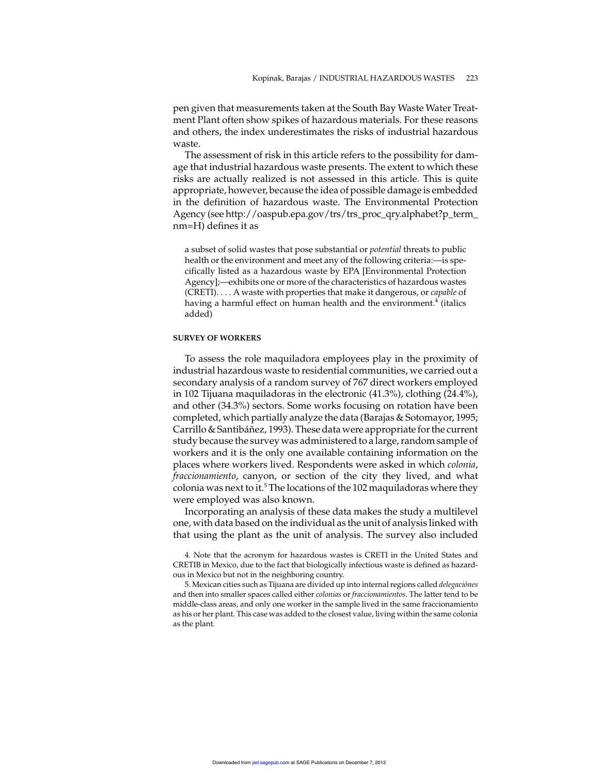pen given that measurements taken at the South Bay Waste Water Treatment Plant often show spikes of hazardous materials. For these reasons and others, the index underestimates the risks of industrial hazardous waste.

The assessment of risk in this article refers to the possibility for damage that industrial hazardous waste presents. The extent to which these risks are actually realized is not assessed in this article. This is quite appropriate, however, because the idea of possible damage is embedded in the definition of hazardous waste. The Environmental Protection Agency (see http://oaspub.epa.gov/trs/trs\_proc\_qry.alphabet?p\_term\_ nm=H) defines it as

a subset of solid wastes that pose substantial or *potential* threats to public health or the environment and meet any of the following criteria:—is specifically listed as a hazardous waste by EPA [Environmental Protection Agency];—exhibits one or more of the characteristics of hazardous wastes (CRETI). ...A waste with properties that make it dangerous, or *capable* of having a harmful effect on human health and the environment. $4$  (italics added)

### **SURVEY OF WORKERS**

To assess the role maquiladora employees play in the proximity of industrial hazardous waste to residential communities, we carried out a secondary analysis of a random survey of 767 direct workers employed in 102 Tijuana maquiladoras in the electronic (41.3%), clothing (24.4%), and other (34.3%) sectors. Some works focusing on rotation have been completed, which partially analyze the data (Barajas & Sotomayor, 1995; Carrillo & Santibáñez, 1993). These data were appropriate for the current study because the survey was administered to a large, random sample of workers and it is the only one available containing information on the places where workers lived. Respondents were asked in which *colonia*, *fraccionamiento*, canyon, or section of the city they lived, and what colonia was next to it.<sup>5</sup> The locations of the 102 maquiladoras where they were employed was also known.

Incorporating an analysis of these data makes the study a multilevel one, with data based on the individual as the unit of analysis linked with that using the plant as the unit of analysis. The survey also included

4. Note that the acronym for hazardous wastes is CRETI in the United States and CRETIB in Mexico, due to the fact that biologically infectious waste is defined as hazardous in Mexico but not in the neighboring country.

5. Mexican cities such as Tijuana are divided up into internal regions called *delegaciónes* and then into smaller spaces called either *colonias* or *fraccionamientos*. The latter tend to be middle-class areas, and only one worker in the sample lived in the same fraccionamiento as his or her plant. This case was added to the closest value, living within the same colonia as the plant.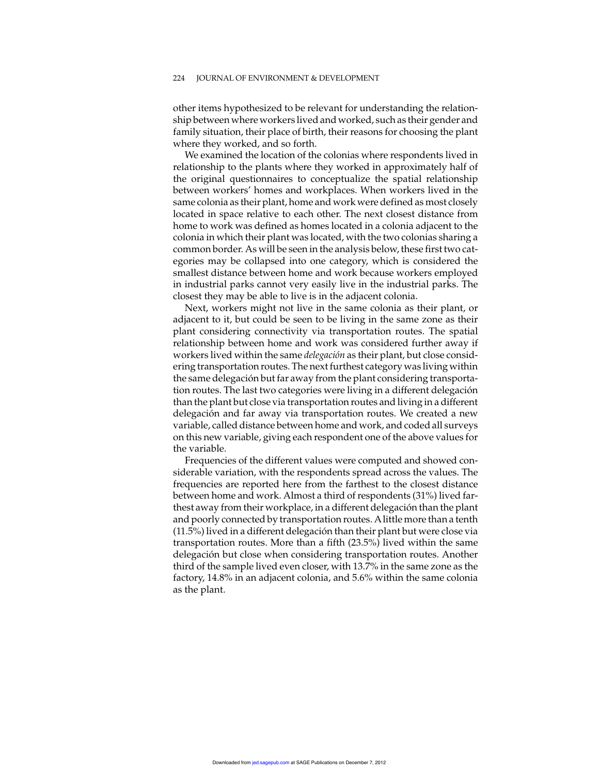other items hypothesized to be relevant for understanding the relationship between where workers lived and worked, such as their gender and family situation, their place of birth, their reasons for choosing the plant where they worked, and so forth.

We examined the location of the colonias where respondents lived in relationship to the plants where they worked in approximately half of the original questionnaires to conceptualize the spatial relationship between workers' homes and workplaces. When workers lived in the same colonia as their plant, home and work were defined as most closely located in space relative to each other. The next closest distance from home to work was defined as homes located in a colonia adjacent to the colonia in which their plant was located, with the two colonias sharing a common border. As will be seen in the analysis below, these first two categories may be collapsed into one category, which is considered the smallest distance between home and work because workers employed in industrial parks cannot very easily live in the industrial parks. The closest they may be able to live is in the adjacent colonia.

Next, workers might not live in the same colonia as their plant, or adjacent to it, but could be seen to be living in the same zone as their plant considering connectivity via transportation routes. The spatial relationship between home and work was considered further away if workers lived within the same *delegación* as their plant, but close considering transportation routes. The next furthest category was living within the same delegación but far away from the plant considering transportation routes. The last two categories were living in a different delegación than the plant but close via transportation routes and living in a different delegación and far away via transportation routes. We created a new variable, called distance between home and work, and coded all surveys on this new variable, giving each respondent one of the above values for the variable.

Frequencies of the different values were computed and showed considerable variation, with the respondents spread across the values. The frequencies are reported here from the farthest to the closest distance between home and work. Almost a third of respondents (31%) lived farthest away from their workplace, in a different delegación than the plant and poorly connected by transportation routes. Alittle more than a tenth (11.5%) lived in a different delegación than their plant but were close via transportation routes. More than a fifth (23.5%) lived within the same delegación but close when considering transportation routes. Another third of the sample lived even closer, with 13.7% in the same zone as the factory, 14.8% in an adjacent colonia, and 5.6% within the same colonia as the plant.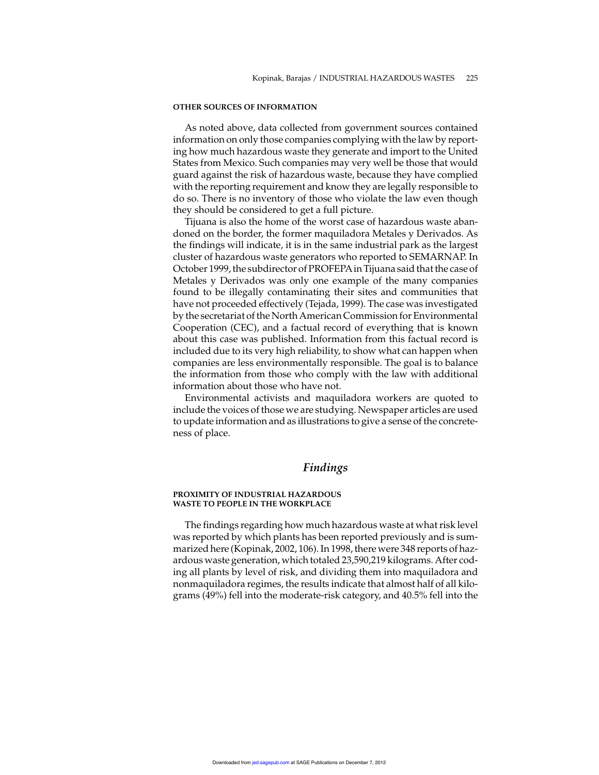### **OTHER SOURCES OF INFORMATION**

As noted above, data collected from government sources contained information on only those companies complying with the law by reporting how much hazardous waste they generate and import to the United States from Mexico. Such companies may very well be those that would guard against the risk of hazardous waste, because they have complied with the reporting requirement and know they are legally responsible to do so. There is no inventory of those who violate the law even though they should be considered to get a full picture.

Tijuana is also the home of the worst case of hazardous waste abandoned on the border, the former maquiladora Metales y Derivados. As the findings will indicate, it is in the same industrial park as the largest cluster of hazardous waste generators who reported to SEMARNAP. In October 1999, the subdirector of PROFEPAin Tijuana said that the case of Metales y Derivados was only one example of the many companies found to be illegally contaminating their sites and communities that have not proceeded effectively (Tejada, 1999). The case was investigated by the secretariat of the North American Commission for Environmental Cooperation (CEC), and a factual record of everything that is known about this case was published. Information from this factual record is included due to its very high reliability, to show what can happen when companies are less environmentally responsible. The goal is to balance the information from those who comply with the law with additional information about those who have not.

Environmental activists and maquiladora workers are quoted to include the voices of those we are studying. Newspaper articles are used to update information and as illustrations to give a sense of the concreteness of place.

# *Findings*

### **PROXIMITY OF INDUSTRIAL HAZARDOUS WASTE TO PEOPLE IN THE WORKPLACE**

The findings regarding how much hazardous waste at what risk level was reported by which plants has been reported previously and is summarized here (Kopinak, 2002, 106). In 1998, there were 348 reports of hazardous waste generation, which totaled 23,590,219 kilograms. After coding all plants by level of risk, and dividing them into maquiladora and nonmaquiladora regimes, the results indicate that almost half of all kilograms (49%) fell into the moderate-risk category, and 40.5% fell into the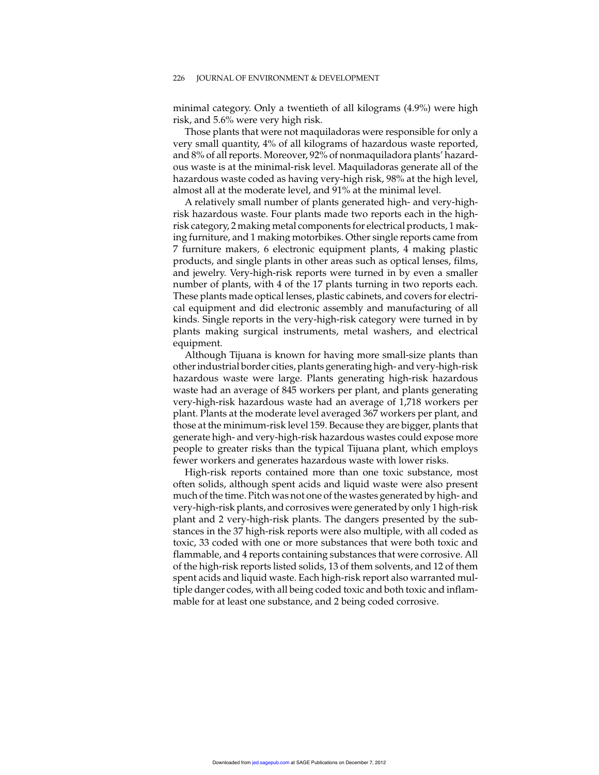minimal category. Only a twentieth of all kilograms (4.9%) were high risk, and 5.6% were very high risk.

Those plants that were not maquiladoras were responsible for only a very small quantity, 4% of all kilograms of hazardous waste reported, and 8% of all reports. Moreover, 92% of nonmaquiladora plants' hazardous waste is at the minimal-risk level. Maquiladoras generate all of the hazardous waste coded as having very-high risk, 98% at the high level, almost all at the moderate level, and 91% at the minimal level.

A relatively small number of plants generated high- and very-highrisk hazardous waste. Four plants made two reports each in the highrisk category, 2 making metal components for electrical products, 1 making furniture, and 1 making motorbikes. Other single reports came from 7 furniture makers, 6 electronic equipment plants, 4 making plastic products, and single plants in other areas such as optical lenses, films, and jewelry. Very-high-risk reports were turned in by even a smaller number of plants, with 4 of the 17 plants turning in two reports each. These plants made optical lenses, plastic cabinets, and covers for electrical equipment and did electronic assembly and manufacturing of all kinds. Single reports in the very-high-risk category were turned in by plants making surgical instruments, metal washers, and electrical equipment.

Although Tijuana is known for having more small-size plants than other industrial border cities, plants generating high- and very-high-risk hazardous waste were large. Plants generating high-risk hazardous waste had an average of 845 workers per plant, and plants generating very-high-risk hazardous waste had an average of 1,718 workers per plant. Plants at the moderate level averaged 367 workers per plant, and those at the minimum-risk level 159. Because they are bigger, plants that generate high- and very-high-risk hazardous wastes could expose more people to greater risks than the typical Tijuana plant, which employs fewer workers and generates hazardous waste with lower risks.

High-risk reports contained more than one toxic substance, most often solids, although spent acids and liquid waste were also present much of the time. Pitch was not one of the wastes generated by high- and very-high-risk plants, and corrosives were generated by only 1 high-risk plant and 2 very-high-risk plants. The dangers presented by the substances in the 37 high-risk reports were also multiple, with all coded as toxic, 33 coded with one or more substances that were both toxic and flammable, and 4 reports containing substances that were corrosive. All of the high-risk reports listed solids, 13 of them solvents, and 12 of them spent acids and liquid waste. Each high-risk report also warranted multiple danger codes, with all being coded toxic and both toxic and inflammable for at least one substance, and 2 being coded corrosive.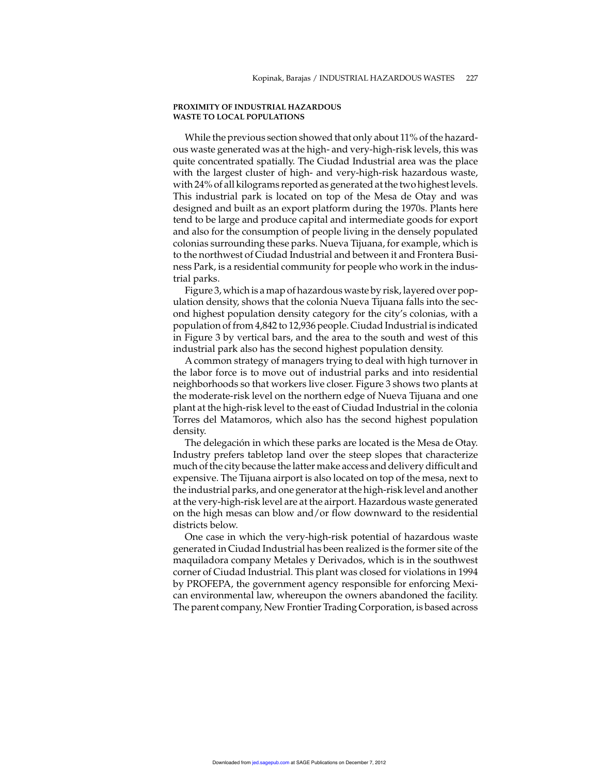### **PROXIMITY OF INDUSTRIAL HAZARDOUS WASTE TO LOCAL POPULATIONS**

While the previous section showed that only about 11% of the hazardous waste generated was at the high- and very-high-risk levels, this was quite concentrated spatially. The Ciudad Industrial area was the place with the largest cluster of high- and very-high-risk hazardous waste, with 24% of all kilograms reported as generated at the two highest levels. This industrial park is located on top of the Mesa de Otay and was designed and built as an export platform during the 1970s. Plants here tend to be large and produce capital and intermediate goods for export and also for the consumption of people living in the densely populated colonias surrounding these parks. Nueva Tijuana, for example, which is to the northwest of Ciudad Industrial and between it and Frontera Business Park, is a residential community for people who work in the industrial parks.

Figure 3, which is a map of hazardous waste by risk, layered over population density, shows that the colonia Nueva Tijuana falls into the second highest population density category for the city's colonias, with a population of from 4,842 to 12,936 people. Ciudad Industrial is indicated in Figure 3 by vertical bars, and the area to the south and west of this industrial park also has the second highest population density.

A common strategy of managers trying to deal with high turnover in the labor force is to move out of industrial parks and into residential neighborhoods so that workers live closer. Figure 3 shows two plants at the moderate-risk level on the northern edge of Nueva Tijuana and one plant at the high-risk level to the east of Ciudad Industrial in the colonia Torres del Matamoros, which also has the second highest population density.

The delegación in which these parks are located is the Mesa de Otay. Industry prefers tabletop land over the steep slopes that characterize much of the city because the latter make access and delivery difficult and expensive. The Tijuana airport is also located on top of the mesa, next to the industrial parks, and one generator at the high-risk level and another at the very-high-risk level are at the airport. Hazardous waste generated on the high mesas can blow and/or flow downward to the residential districts below.

One case in which the very-high-risk potential of hazardous waste generated in Ciudad Industrial has been realized is the former site of the maquiladora company Metales y Derivados, which is in the southwest corner of Ciudad Industrial. This plant was closed for violations in 1994 by PROFEPA, the government agency responsible for enforcing Mexican environmental law, whereupon the owners abandoned the facility. The parent company, New Frontier Trading Corporation, is based across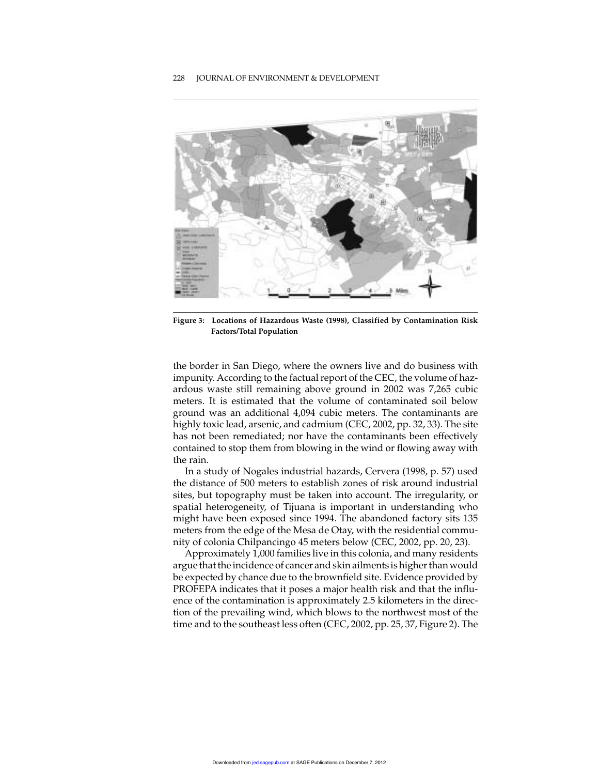

**Figure 3: Locations of Hazardous Waste (1998), Classified by Contamination Risk Factors/Total Population**

the border in San Diego, where the owners live and do business with impunity. According to the factual report of the CEC, the volume of hazardous waste still remaining above ground in 2002 was 7,265 cubic meters. It is estimated that the volume of contaminated soil below ground was an additional 4,094 cubic meters. The contaminants are highly toxic lead, arsenic, and cadmium (CEC, 2002, pp. 32, 33). The site has not been remediated; nor have the contaminants been effectively contained to stop them from blowing in the wind or flowing away with the rain.

In a study of Nogales industrial hazards, Cervera (1998, p. 57) used the distance of 500 meters to establish zones of risk around industrial sites, but topography must be taken into account. The irregularity, or spatial heterogeneity, of Tijuana is important in understanding who might have been exposed since 1994. The abandoned factory sits 135 meters from the edge of the Mesa de Otay, with the residential community of colonia Chilpancingo 45 meters below (CEC, 2002, pp. 20, 23).

Approximately 1,000 families live in this colonia, and many residents argue that the incidence of cancer and skin ailments is higher than would be expected by chance due to the brownfield site. Evidence provided by PROFEPA indicates that it poses a major health risk and that the influence of the contamination is approximately 2.5 kilometers in the direction of the prevailing wind, which blows to the northwest most of the time and to the southeast less often (CEC, 2002, pp. 25, 37, Figure 2). The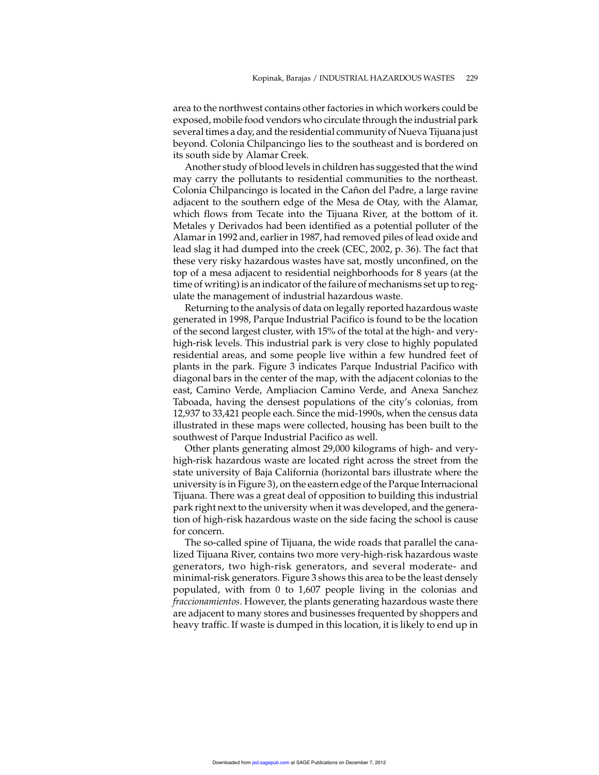area to the northwest contains other factories in which workers could be exposed, mobile food vendors who circulate through the industrial park several times a day, and the residential community of Nueva Tijuana just beyond. Colonia Chilpancingo lies to the southeast and is bordered on its south side by Alamar Creek.

Another study of blood levels in children has suggested that the wind may carry the pollutants to residential communities to the northeast. Colonia Chilpancingo is located in the Cañon del Padre, a large ravine adjacent to the southern edge of the Mesa de Otay, with the Alamar, which flows from Tecate into the Tijuana River, at the bottom of it. Metales y Derivados had been identified as a potential polluter of the Alamar in 1992 and, earlier in 1987, had removed piles of lead oxide and lead slag it had dumped into the creek (CEC, 2002, p. 36). The fact that these very risky hazardous wastes have sat, mostly unconfined, on the top of a mesa adjacent to residential neighborhoods for 8 years (at the time of writing) is an indicator of the failure of mechanisms set up to regulate the management of industrial hazardous waste.

Returning to the analysis of data on legally reported hazardous waste generated in 1998, Parque Industrial Pacifico is found to be the location of the second largest cluster, with 15% of the total at the high- and veryhigh-risk levels. This industrial park is very close to highly populated residential areas, and some people live within a few hundred feet of plants in the park. Figure 3 indicates Parque Industrial Pacifico with diagonal bars in the center of the map, with the adjacent colonias to the east, Camino Verde, Ampliacion Camino Verde, and Anexa Sanchez Taboada, having the densest populations of the city's colonias, from 12,937 to 33,421 people each. Since the mid-1990s, when the census data illustrated in these maps were collected, housing has been built to the southwest of Parque Industrial Pacifico as well.

Other plants generating almost 29,000 kilograms of high- and veryhigh-risk hazardous waste are located right across the street from the state university of Baja California (horizontal bars illustrate where the university is in Figure 3), on the eastern edge of the Parque Internacional Tijuana. There was a great deal of opposition to building this industrial park right next to the university when it was developed, and the generation of high-risk hazardous waste on the side facing the school is cause for concern.

The so-called spine of Tijuana, the wide roads that parallel the canalized Tijuana River, contains two more very-high-risk hazardous waste generators, two high-risk generators, and several moderate- and minimal-risk generators. Figure 3 shows this area to be the least densely populated, with from 0 to 1,607 people living in the colonias and *fraccionamientos*. However, the plants generating hazardous waste there are adjacent to many stores and businesses frequented by shoppers and heavy traffic. If waste is dumped in this location, it is likely to end up in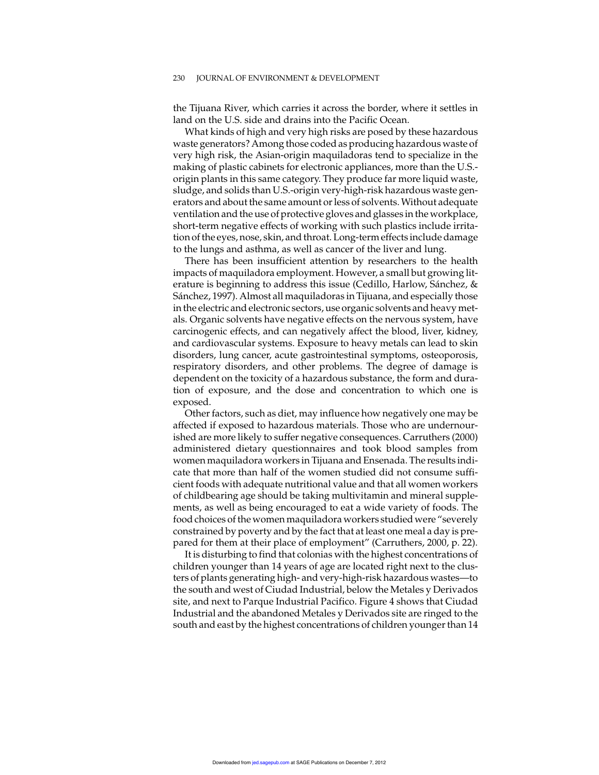the Tijuana River, which carries it across the border, where it settles in land on the U.S. side and drains into the Pacific Ocean.

What kinds of high and very high risks are posed by these hazardous waste generators? Among those coded as producing hazardous waste of very high risk, the Asian-origin maquiladoras tend to specialize in the making of plastic cabinets for electronic appliances, more than the U.S. origin plants in this same category. They produce far more liquid waste, sludge, and solids than U.S.-origin very-high-risk hazardous waste generators and about the same amount or less of solvents. Without adequate ventilation and the use of protective gloves and glasses in the workplace, short-term negative effects of working with such plastics include irritation of the eyes, nose, skin, and throat. Long-term effects include damage to the lungs and asthma, as well as cancer of the liver and lung.

There has been insufficient attention by researchers to the health impacts of maquiladora employment. However, a small but growing literature is beginning to address this issue (Cedillo, Harlow, Sánchez, & Sánchez, 1997). Almost all maquiladoras in Tijuana, and especially those in the electric and electronic sectors, use organic solvents and heavy metals. Organic solvents have negative effects on the nervous system, have carcinogenic effects, and can negatively affect the blood, liver, kidney, and cardiovascular systems. Exposure to heavy metals can lead to skin disorders, lung cancer, acute gastrointestinal symptoms, osteoporosis, respiratory disorders, and other problems. The degree of damage is dependent on the toxicity of a hazardous substance, the form and duration of exposure, and the dose and concentration to which one is exposed.

Other factors, such as diet, may influence how negatively one may be affected if exposed to hazardous materials. Those who are undernourished are more likely to suffer negative consequences. Carruthers (2000) administered dietary questionnaires and took blood samples from women maquiladora workers in Tijuana and Ensenada. The results indicate that more than half of the women studied did not consume sufficient foods with adequate nutritional value and that all women workers of childbearing age should be taking multivitamin and mineral supplements, as well as being encouraged to eat a wide variety of foods. The food choices of the women maquiladora workers studied were "severely constrained by poverty and by the fact that at least one meal a day is prepared for them at their place of employment" (Carruthers, 2000, p. 22).

It is disturbing to find that colonias with the highest concentrations of children younger than 14 years of age are located right next to the clusters of plants generating high- and very-high-risk hazardous wastes—to the south and west of Ciudad Industrial, below the Metales y Derivados site, and next to Parque Industrial Pacifico. Figure 4 shows that Ciudad Industrial and the abandoned Metales y Derivados site are ringed to the south and east by the highest concentrations of children younger than 14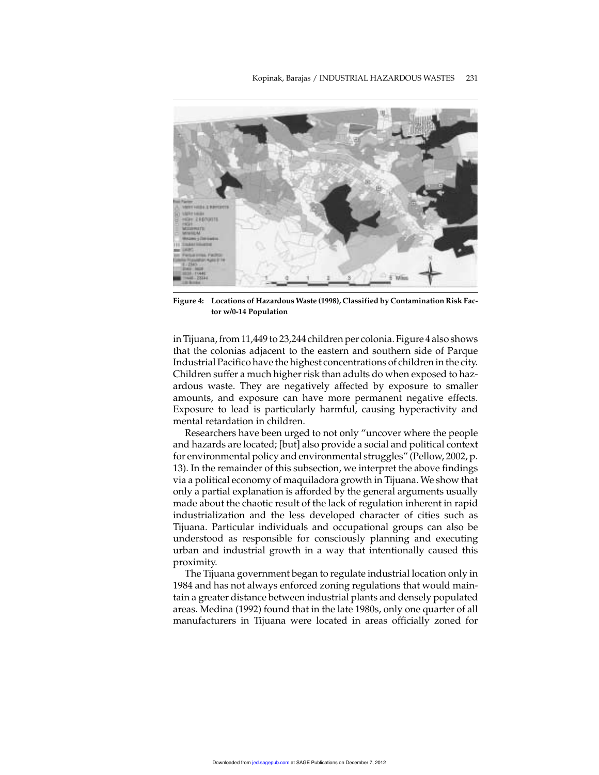

**Figure 4: Locations of Hazardous Waste (1998), Classified by Contamination Risk Factor w/0-14 Population**

in Tijuana, from 11,449 to 23,244 children per colonia. Figure 4 also shows that the colonias adjacent to the eastern and southern side of Parque Industrial Pacifico have the highest concentrations of children in the city. Children suffer a much higher risk than adults do when exposed to hazardous waste. They are negatively affected by exposure to smaller amounts, and exposure can have more permanent negative effects. Exposure to lead is particularly harmful, causing hyperactivity and mental retardation in children.

Researchers have been urged to not only "uncover where the people and hazards are located; [but] also provide a social and political context for environmental policy and environmental struggles" (Pellow, 2002, p. 13). In the remainder of this subsection, we interpret the above findings via a political economy of maquiladora growth in Tijuana. We show that only a partial explanation is afforded by the general arguments usually made about the chaotic result of the lack of regulation inherent in rapid industrialization and the less developed character of cities such as Tijuana. Particular individuals and occupational groups can also be understood as responsible for consciously planning and executing urban and industrial growth in a way that intentionally caused this proximity.

The Tijuana government began to regulate industrial location only in 1984 and has not always enforced zoning regulations that would maintain a greater distance between industrial plants and densely populated areas. Medina (1992) found that in the late 1980s, only one quarter of all manufacturers in Tijuana were located in areas officially zoned for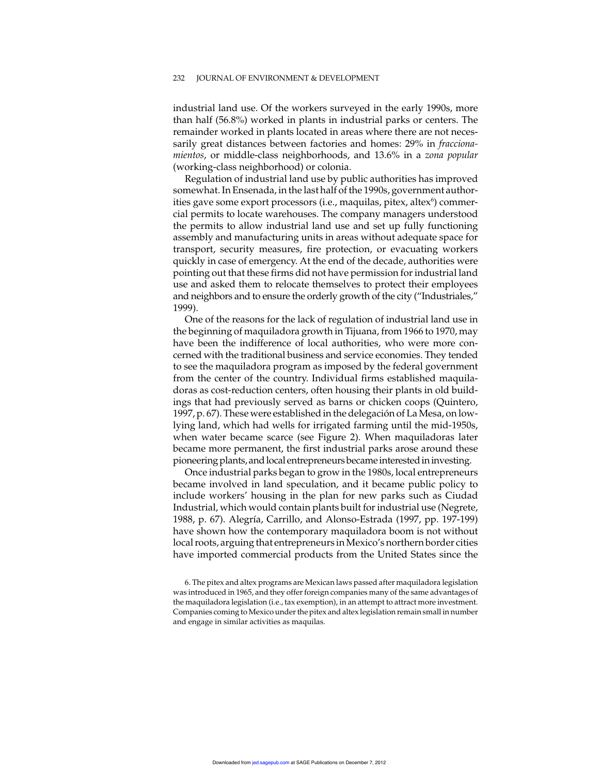industrial land use. Of the workers surveyed in the early 1990s, more than half (56.8%) worked in plants in industrial parks or centers. The remainder worked in plants located in areas where there are not necessarily great distances between factories and homes: 29% in *fraccionamientos*, or middle-class neighborhoods, and 13.6% in a *zona popular* (working-class neighborhood) or colonia.

Regulation of industrial land use by public authorities has improved somewhat. In Ensenada, in the last half of the 1990s, government authorities gave some export processors (i.e., maquilas, pitex, altex $^6$ ) commercial permits to locate warehouses. The company managers understood the permits to allow industrial land use and set up fully functioning assembly and manufacturing units in areas without adequate space for transport, security measures, fire protection, or evacuating workers quickly in case of emergency. At the end of the decade, authorities were pointing out that these firms did not have permission for industrial land use and asked them to relocate themselves to protect their employees and neighbors and to ensure the orderly growth of the city ("Industriales," 1999).

One of the reasons for the lack of regulation of industrial land use in the beginning of maquiladora growth in Tijuana, from 1966 to 1970, may have been the indifference of local authorities, who were more concerned with the traditional business and service economies. They tended to see the maquiladora program as imposed by the federal government from the center of the country. Individual firms established maquiladoras as cost-reduction centers, often housing their plants in old buildings that had previously served as barns or chicken coops (Quintero, 1997, p. 67). These were established in the delegación of La Mesa, on lowlying land, which had wells for irrigated farming until the mid-1950s, when water became scarce (see Figure 2). When maquiladoras later became more permanent, the first industrial parks arose around these pioneering plants, and local entrepreneurs became interested in investing.

Once industrial parks began to grow in the 1980s, local entrepreneurs became involved in land speculation, and it became public policy to include workers' housing in the plan for new parks such as Ciudad Industrial, which would contain plants built for industrial use (Negrete, 1988, p. 67). Alegría, Carrillo, and Alonso-Estrada (1997, pp. 197-199) have shown how the contemporary maquiladora boom is not without local roots, arguing that entrepreneurs in Mexico's northern border cities have imported commercial products from the United States since the

<sup>6.</sup> The pitex and altex programs are Mexican laws passed after maquiladora legislation was introduced in 1965, and they offer foreign companies many of the same advantages of the maquiladora legislation (i.e., tax exemption), in an attempt to attract more investment. Companies coming to Mexico under the pitex and altex legislation remain small in number and engage in similar activities as maquilas.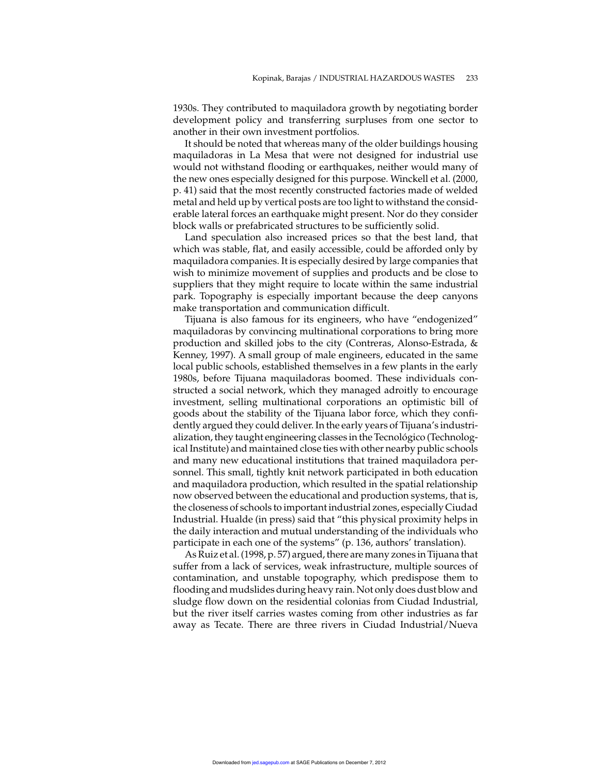1930s. They contributed to maquiladora growth by negotiating border development policy and transferring surpluses from one sector to another in their own investment portfolios.

It should be noted that whereas many of the older buildings housing maquiladoras in La Mesa that were not designed for industrial use would not withstand flooding or earthquakes, neither would many of the new ones especially designed for this purpose. Winckell et al. (2000, p. 41) said that the most recently constructed factories made of welded metal and held up by vertical posts are too light to withstand the considerable lateral forces an earthquake might present. Nor do they consider block walls or prefabricated structures to be sufficiently solid.

Land speculation also increased prices so that the best land, that which was stable, flat, and easily accessible, could be afforded only by maquiladora companies. It is especially desired by large companies that wish to minimize movement of supplies and products and be close to suppliers that they might require to locate within the same industrial park. Topography is especially important because the deep canyons make transportation and communication difficult.

Tijuana is also famous for its engineers, who have "endogenized" maquiladoras by convincing multinational corporations to bring more production and skilled jobs to the city (Contreras, Alonso-Estrada, & Kenney, 1997). A small group of male engineers, educated in the same local public schools, established themselves in a few plants in the early 1980s, before Tijuana maquiladoras boomed. These individuals constructed a social network, which they managed adroitly to encourage investment, selling multinational corporations an optimistic bill of goods about the stability of the Tijuana labor force, which they confidently argued they could deliver. In the early years of Tijuana's industrialization, they taught engineering classes in the Tecnológico (Technological Institute) and maintained close ties with other nearby public schools and many new educational institutions that trained maquiladora personnel. This small, tightly knit network participated in both education and maquiladora production, which resulted in the spatial relationship now observed between the educational and production systems, that is, the closeness of schools to important industrial zones, especially Ciudad Industrial. Hualde (in press) said that "this physical proximity helps in the daily interaction and mutual understanding of the individuals who participate in each one of the systems" (p. 136, authors' translation).

As Ruiz et al. (1998, p. 57) argued, there are many zones in Tijuana that suffer from a lack of services, weak infrastructure, multiple sources of contamination, and unstable topography, which predispose them to flooding and mudslides during heavy rain. Not only does dust blow and sludge flow down on the residential colonias from Ciudad Industrial, but the river itself carries wastes coming from other industries as far away as Tecate. There are three rivers in Ciudad Industrial/Nueva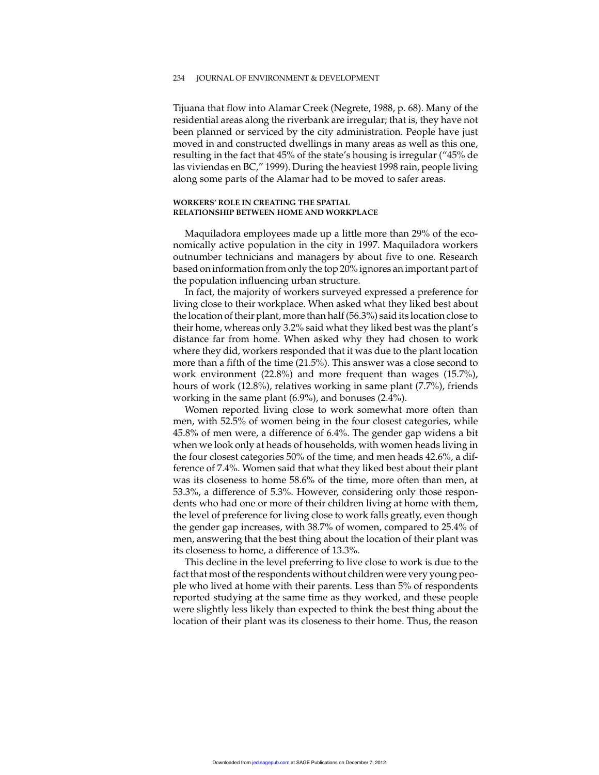Tijuana that flow into Alamar Creek (Negrete, 1988, p. 68). Many of the residential areas along the riverbank are irregular; that is, they have not been planned or serviced by the city administration. People have just moved in and constructed dwellings in many areas as well as this one, resulting in the fact that 45% of the state's housing is irregular ("45% de las viviendas en BC," 1999). During the heaviest 1998 rain, people living along some parts of the Alamar had to be moved to safer areas.

### **WORKERS' ROLE IN CREATING THE SPATIAL RELATIONSHIP BETWEEN HOME AND WORKPLACE**

Maquiladora employees made up a little more than 29% of the economically active population in the city in 1997. Maquiladora workers outnumber technicians and managers by about five to one. Research based on information from only the top 20% ignores an important part of the population influencing urban structure.

In fact, the majority of workers surveyed expressed a preference for living close to their workplace. When asked what they liked best about the location of their plant, more than half (56.3%) said its location close to their home, whereas only 3.2% said what they liked best was the plant's distance far from home. When asked why they had chosen to work where they did, workers responded that it was due to the plant location more than a fifth of the time (21.5%). This answer was a close second to work environment (22.8%) and more frequent than wages (15.7%), hours of work (12.8%), relatives working in same plant (7.7%), friends working in the same plant (6.9%), and bonuses (2.4%).

Women reported living close to work somewhat more often than men, with 52.5% of women being in the four closest categories, while 45.8% of men were, a difference of 6.4%. The gender gap widens a bit when we look only at heads of households, with women heads living in the four closest categories 50% of the time, and men heads 42.6%, a difference of 7.4%. Women said that what they liked best about their plant was its closeness to home 58.6% of the time, more often than men, at 53.3%, a difference of 5.3%. However, considering only those respondents who had one or more of their children living at home with them, the level of preference for living close to work falls greatly, even though the gender gap increases, with 38.7% of women, compared to 25.4% of men, answering that the best thing about the location of their plant was its closeness to home, a difference of 13.3%.

This decline in the level preferring to live close to work is due to the fact that most of the respondents without children were very young people who lived at home with their parents. Less than 5% of respondents reported studying at the same time as they worked, and these people were slightly less likely than expected to think the best thing about the location of their plant was its closeness to their home. Thus, the reason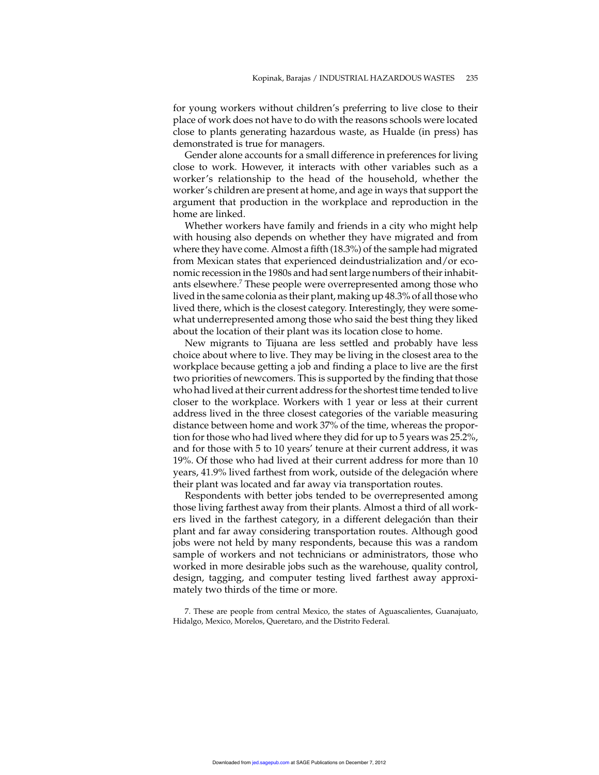for young workers without children's preferring to live close to their place of work does not have to do with the reasons schools were located close to plants generating hazardous waste, as Hualde (in press) has demonstrated is true for managers.

Gender alone accounts for a small difference in preferences for living close to work. However, it interacts with other variables such as a worker's relationship to the head of the household, whether the worker's children are present at home, and age in ways that support the argument that production in the workplace and reproduction in the home are linked.

Whether workers have family and friends in a city who might help with housing also depends on whether they have migrated and from where they have come. Almost a fifth (18.3%) of the sample had migrated from Mexican states that experienced deindustrialization and/or economic recession in the 1980s and had sent large numbers of their inhabitants elsewhere.<sup>7</sup> These people were overrepresented among those who lived in the same colonia as their plant, making up 48.3% of all those who lived there, which is the closest category. Interestingly, they were somewhat underrepresented among those who said the best thing they liked about the location of their plant was its location close to home.

New migrants to Tijuana are less settled and probably have less choice about where to live. They may be living in the closest area to the workplace because getting a job and finding a place to live are the first two priorities of newcomers. This is supported by the finding that those who had lived at their current address for the shortest time tended to live closer to the workplace. Workers with 1 year or less at their current address lived in the three closest categories of the variable measuring distance between home and work 37% of the time, whereas the proportion for those who had lived where they did for up to 5 years was 25.2%, and for those with 5 to 10 years' tenure at their current address, it was 19%. Of those who had lived at their current address for more than 10 years, 41.9% lived farthest from work, outside of the delegación where their plant was located and far away via transportation routes.

Respondents with better jobs tended to be overrepresented among those living farthest away from their plants. Almost a third of all workers lived in the farthest category, in a different delegación than their plant and far away considering transportation routes. Although good jobs were not held by many respondents, because this was a random sample of workers and not technicians or administrators, those who worked in more desirable jobs such as the warehouse, quality control, design, tagging, and computer testing lived farthest away approximately two thirds of the time or more.

7. These are people from central Mexico, the states of Aguascalientes, Guanajuato, Hidalgo, Mexico, Morelos, Queretaro, and the Distrito Federal.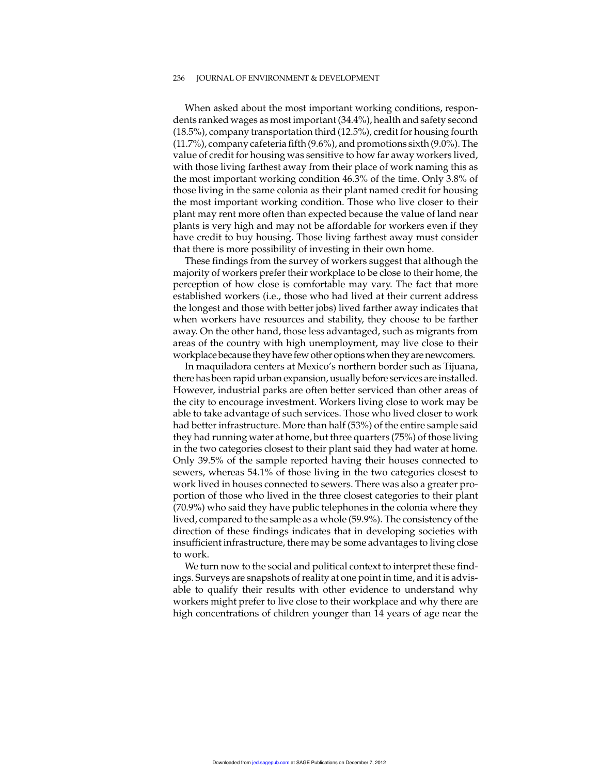When asked about the most important working conditions, respondents ranked wages as most important (34.4%), health and safety second (18.5%), company transportation third (12.5%), credit for housing fourth (11.7%), company cafeteria fifth (9.6%), and promotions sixth (9.0%). The value of credit for housing was sensitive to how far away workers lived, with those living farthest away from their place of work naming this as the most important working condition 46.3% of the time. Only 3.8% of those living in the same colonia as their plant named credit for housing the most important working condition. Those who live closer to their plant may rent more often than expected because the value of land near plants is very high and may not be affordable for workers even if they have credit to buy housing. Those living farthest away must consider that there is more possibility of investing in their own home.

These findings from the survey of workers suggest that although the majority of workers prefer their workplace to be close to their home, the perception of how close is comfortable may vary. The fact that more established workers (i.e., those who had lived at their current address the longest and those with better jobs) lived farther away indicates that when workers have resources and stability, they choose to be farther away. On the other hand, those less advantaged, such as migrants from areas of the country with high unemployment, may live close to their workplace because they have few other options when they are newcomers.

In maquiladora centers at Mexico's northern border such as Tijuana, there has been rapid urban expansion, usually before services are installed. However, industrial parks are often better serviced than other areas of the city to encourage investment. Workers living close to work may be able to take advantage of such services. Those who lived closer to work had better infrastructure. More than half (53%) of the entire sample said they had running water at home, but three quarters (75%) of those living in the two categories closest to their plant said they had water at home. Only 39.5% of the sample reported having their houses connected to sewers, whereas 54.1% of those living in the two categories closest to work lived in houses connected to sewers. There was also a greater proportion of those who lived in the three closest categories to their plant (70.9%) who said they have public telephones in the colonia where they lived, compared to the sample as a whole (59.9%). The consistency of the direction of these findings indicates that in developing societies with insufficient infrastructure, there may be some advantages to living close to work.

We turn now to the social and political context to interpret these findings. Surveys are snapshots of reality at one point in time, and it is advisable to qualify their results with other evidence to understand why workers might prefer to live close to their workplace and why there are high concentrations of children younger than 14 years of age near the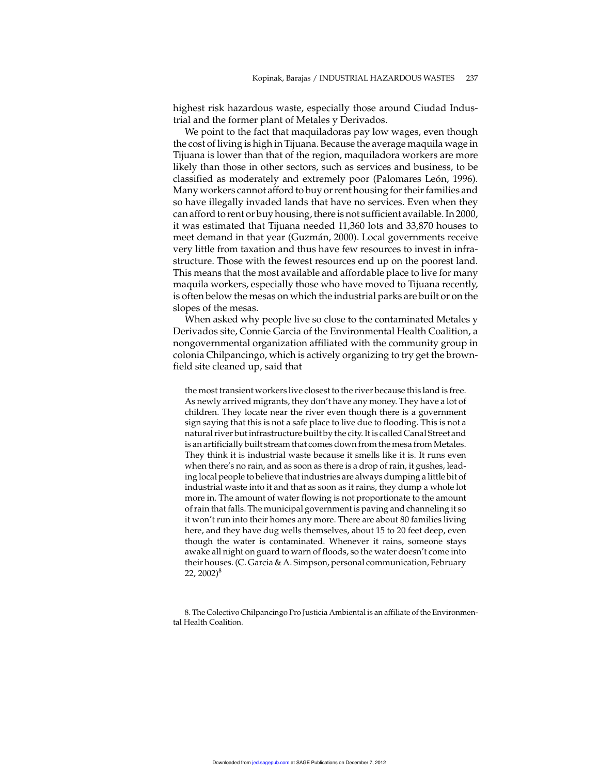highest risk hazardous waste, especially those around Ciudad Industrial and the former plant of Metales y Derivados.

We point to the fact that maquiladoras pay low wages, even though the cost of living is high in Tijuana. Because the average maquila wage in Tijuana is lower than that of the region, maquiladora workers are more likely than those in other sectors, such as services and business, to be classified as moderately and extremely poor (Palomares León, 1996). Many workers cannot afford to buy or rent housing for their families and so have illegally invaded lands that have no services. Even when they can afford to rent or buy housing, there is not sufficient available. In 2000, it was estimated that Tijuana needed 11,360 lots and 33,870 houses to meet demand in that year (Guzmán, 2000). Local governments receive very little from taxation and thus have few resources to invest in infrastructure. Those with the fewest resources end up on the poorest land. This means that the most available and affordable place to live for many maquila workers, especially those who have moved to Tijuana recently, is often below the mesas on which the industrial parks are built or on the slopes of the mesas.

When asked why people live so close to the contaminated Metales y Derivados site, Connie Garcia of the Environmental Health Coalition, a nongovernmental organization affiliated with the community group in colonia Chilpancingo, which is actively organizing to try get the brownfield site cleaned up, said that

the most transient workers live closest to the river because this land is free. As newly arrived migrants, they don't have any money. They have a lot of children. They locate near the river even though there is a government sign saying that this is not a safe place to live due to flooding. This is not a natural river but infrastructure built by the city. It is called Canal Street and is an artificially built stream that comes down from the mesa from Metales. They think it is industrial waste because it smells like it is. It runs even when there's no rain, and as soon as there is a drop of rain, it gushes, leading local people to believe that industries are always dumping a little bit of industrial waste into it and that as soon as it rains, they dump a whole lot more in. The amount of water flowing is not proportionate to the amount of rain that falls. The municipal government is paving and channeling it so it won't run into their homes any more. There are about 80 families living here, and they have dug wells themselves, about 15 to 20 feet deep, even though the water is contaminated. Whenever it rains, someone stays awake all night on guard to warn of floods, so the water doesn't come into their houses. (C. Garcia & A. Simpson, personal communication, February  $22, 2002$ <sup>8</sup>

8. The Colectivo Chilpancingo Pro Justicia Ambiental is an affiliate of the Environmental Health Coalition.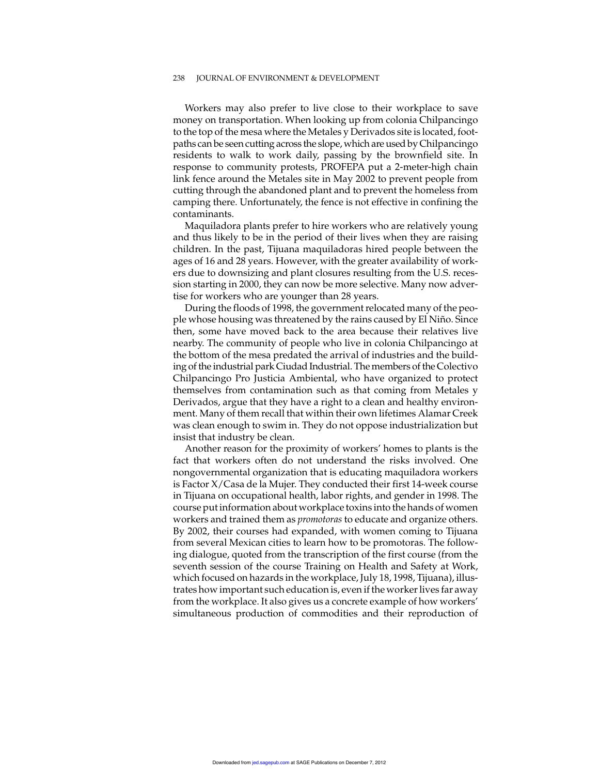Workers may also prefer to live close to their workplace to save money on transportation. When looking up from colonia Chilpancingo to the top of the mesa where the Metales y Derivados site is located, footpaths can be seen cutting across the slope, which are used by Chilpancingo residents to walk to work daily, passing by the brownfield site. In response to community protests, PROFEPA put a 2-meter-high chain link fence around the Metales site in May 2002 to prevent people from cutting through the abandoned plant and to prevent the homeless from camping there. Unfortunately, the fence is not effective in confining the contaminants.

Maquiladora plants prefer to hire workers who are relatively young and thus likely to be in the period of their lives when they are raising children. In the past, Tijuana maquiladoras hired people between the ages of 16 and 28 years. However, with the greater availability of workers due to downsizing and plant closures resulting from the U.S. recession starting in 2000, they can now be more selective. Many now advertise for workers who are younger than 28 years.

During the floods of 1998, the government relocated many of the people whose housing was threatened by the rains caused by El Niño. Since then, some have moved back to the area because their relatives live nearby. The community of people who live in colonia Chilpancingo at the bottom of the mesa predated the arrival of industries and the building of the industrial park Ciudad Industrial. The members of the Colectivo Chilpancingo Pro Justicia Ambiental, who have organized to protect themselves from contamination such as that coming from Metales y Derivados, argue that they have a right to a clean and healthy environment. Many of them recall that within their own lifetimes Alamar Creek was clean enough to swim in. They do not oppose industrialization but insist that industry be clean.

Another reason for the proximity of workers' homes to plants is the fact that workers often do not understand the risks involved. One nongovernmental organization that is educating maquiladora workers is Factor X/Casa de la Mujer. They conducted their first 14-week course in Tijuana on occupational health, labor rights, and gender in 1998. The course put information about workplace toxins into the hands of women workers and trained them as *promotoras* to educate and organize others. By 2002, their courses had expanded, with women coming to Tijuana from several Mexican cities to learn how to be promotoras. The following dialogue, quoted from the transcription of the first course (from the seventh session of the course Training on Health and Safety at Work, which focused on hazards in the workplace, July 18, 1998, Tijuana), illustrates how important such education is, even if the worker lives far away from the workplace. It also gives us a concrete example of how workers' simultaneous production of commodities and their reproduction of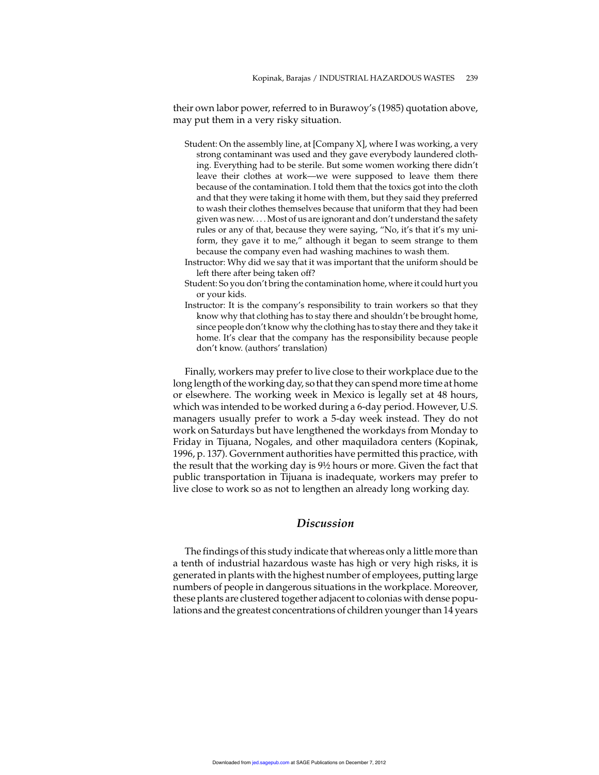their own labor power, referred to in Burawoy's (1985) quotation above, may put them in a very risky situation.

- Student: On the assembly line, at [Company X], where I was working, a very strong contaminant was used and they gave everybody laundered clothing. Everything had to be sterile. But some women working there didn't leave their clothes at work—we were supposed to leave them there because of the contamination. I told them that the toxics got into the cloth and that they were taking it home with them, but they said they preferred to wash their clothes themselves because that uniform that they had been given was new.... Most of us are ignorant and don't understand the safety rules or any of that, because they were saying, "No, it's that it's my uniform, they gave it to me," although it began to seem strange to them because the company even had washing machines to wash them.
- Instructor: Why did we say that it was important that the uniform should be left there after being taken off?
- Student: So you don't bring the contamination home, where it could hurt you or your kids.
- Instructor: It is the company's responsibility to train workers so that they know why that clothing has to stay there and shouldn't be brought home, since people don't know why the clothing has to stay there and they take it home. It's clear that the company has the responsibility because people don't know. (authors' translation)

Finally, workers may prefer to live close to their workplace due to the long length of the working day, so that they can spend more time at home or elsewhere. The working week in Mexico is legally set at 48 hours, which was intended to be worked during a 6-day period. However, U.S. managers usually prefer to work a 5-day week instead. They do not work on Saturdays but have lengthened the workdays from Monday to Friday in Tijuana, Nogales, and other maquiladora centers (Kopinak, 1996, p. 137). Government authorities have permitted this practice, with the result that the working day is 9½ hours or more. Given the fact that public transportation in Tijuana is inadequate, workers may prefer to live close to work so as not to lengthen an already long working day.

# *Discussion*

The findings of this study indicate that whereas only a little more than a tenth of industrial hazardous waste has high or very high risks, it is generated in plants with the highest number of employees, putting large numbers of people in dangerous situations in the workplace. Moreover, these plants are clustered together adjacent to colonias with dense populations and the greatest concentrations of children younger than 14 years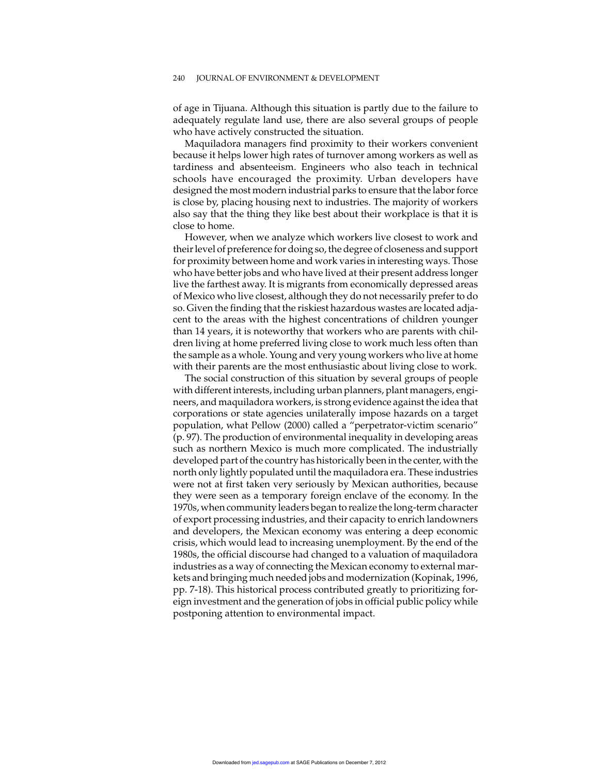of age in Tijuana. Although this situation is partly due to the failure to adequately regulate land use, there are also several groups of people who have actively constructed the situation.

Maquiladora managers find proximity to their workers convenient because it helps lower high rates of turnover among workers as well as tardiness and absenteeism. Engineers who also teach in technical schools have encouraged the proximity. Urban developers have designed the most modern industrial parks to ensure that the labor force is close by, placing housing next to industries. The majority of workers also say that the thing they like best about their workplace is that it is close to home.

However, when we analyze which workers live closest to work and their level of preference for doing so, the degree of closeness and support for proximity between home and work varies in interesting ways. Those who have better jobs and who have lived at their present address longer live the farthest away. It is migrants from economically depressed areas of Mexico who live closest, although they do not necessarily prefer to do so. Given the finding that the riskiest hazardous wastes are located adjacent to the areas with the highest concentrations of children younger than 14 years, it is noteworthy that workers who are parents with children living at home preferred living close to work much less often than the sample as a whole. Young and very young workers who live at home with their parents are the most enthusiastic about living close to work.

The social construction of this situation by several groups of people with different interests, including urban planners, plant managers, engineers, and maquiladora workers, is strong evidence against the idea that corporations or state agencies unilaterally impose hazards on a target population, what Pellow (2000) called a "perpetrator-victim scenario" (p. 97). The production of environmental inequality in developing areas such as northern Mexico is much more complicated. The industrially developed part of the country has historically been in the center, with the north only lightly populated until the maquiladora era. These industries were not at first taken very seriously by Mexican authorities, because they were seen as a temporary foreign enclave of the economy. In the 1970s, when community leaders began to realize the long-term character of export processing industries, and their capacity to enrich landowners and developers, the Mexican economy was entering a deep economic crisis, which would lead to increasing unemployment. By the end of the 1980s, the official discourse had changed to a valuation of maquiladora industries as a way of connecting the Mexican economy to external markets and bringing much needed jobs and modernization (Kopinak, 1996, pp. 7-18). This historical process contributed greatly to prioritizing foreign investment and the generation of jobs in official public policy while postponing attention to environmental impact.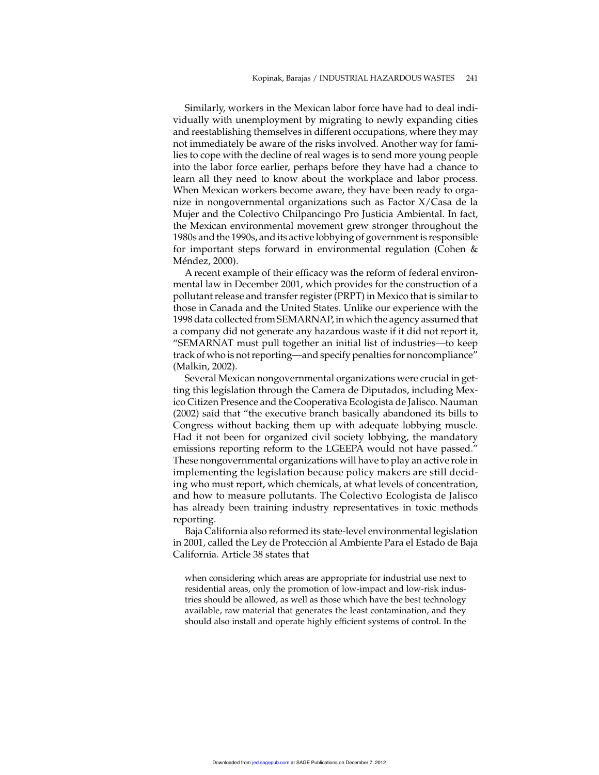Similarly, workers in the Mexican labor force have had to deal individually with unemployment by migrating to newly expanding cities and reestablishing themselves in different occupations, where they may not immediately be aware of the risks involved. Another way for families to cope with the decline of real wages is to send more young people into the labor force earlier, perhaps before they have had a chance to learn all they need to know about the workplace and labor process. When Mexican workers become aware, they have been ready to organize in nongovernmental organizations such as Factor X/Casa de la Mujer and the Colectivo Chilpancingo Pro Justicia Ambiental. In fact, the Mexican environmental movement grew stronger throughout the 1980s and the 1990s, and its active lobbying of government is responsible for important steps forward in environmental regulation (Cohen & Méndez, 2000).

A recent example of their efficacy was the reform of federal environmental law in December 2001, which provides for the construction of a pollutant release and transfer register (PRPT) in Mexico that is similar to those in Canada and the United States. Unlike our experience with the 1998 data collected from SEMARNAP, in which the agency assumed that a company did not generate any hazardous waste if it did not report it, "SEMARNAT must pull together an initial list of industries—to keep track of who is not reporting—and specify penalties for noncompliance" (Malkin, 2002).

Several Mexican nongovernmental organizations were crucial in getting this legislation through the Camera de Diputados, including Mexico Citizen Presence and the Cooperativa Ecologista de Jalisco. Nauman (2002) said that "the executive branch basically abandoned its bills to Congress without backing them up with adequate lobbying muscle. Had it not been for organized civil society lobbying, the mandatory emissions reporting reform to the LGEEPA would not have passed." These nongovernmental organizations will have to play an active role in implementing the legislation because policy makers are still deciding who must report, which chemicals, at what levels of concentration, and how to measure pollutants. The Colectivo Ecologista de Jalisco has already been training industry representatives in toxic methods reporting.

Baja California also reformed its state-level environmental legislation in 2001, called the Ley de Protección al Ambiente Para el Estado de Baja California. Article 38 states that

when considering which areas are appropriate for industrial use next to residential areas, only the promotion of low-impact and low-risk industries should be allowed, as well as those which have the best technology available, raw material that generates the least contamination, and they should also install and operate highly efficient systems of control. In the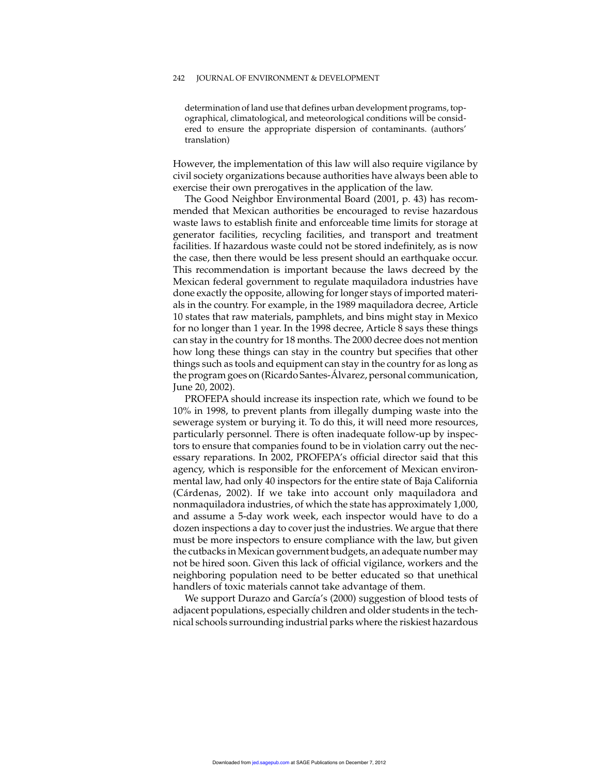determination of land use that defines urban development programs, topographical, climatological, and meteorological conditions will be considered to ensure the appropriate dispersion of contaminants. (authors' translation)

However, the implementation of this law will also require vigilance by civil society organizations because authorities have always been able to exercise their own prerogatives in the application of the law.

The Good Neighbor Environmental Board (2001, p. 43) has recommended that Mexican authorities be encouraged to revise hazardous waste laws to establish finite and enforceable time limits for storage at generator facilities, recycling facilities, and transport and treatment facilities. If hazardous waste could not be stored indefinitely, as is now the case, then there would be less present should an earthquake occur. This recommendation is important because the laws decreed by the Mexican federal government to regulate maquiladora industries have done exactly the opposite, allowing for longer stays of imported materials in the country. For example, in the 1989 maquiladora decree, Article 10 states that raw materials, pamphlets, and bins might stay in Mexico for no longer than 1 year. In the 1998 decree, Article 8 says these things can stay in the country for 18 months. The 2000 decree does not mention how long these things can stay in the country but specifies that other things such as tools and equipment can stay in the country for as long as the program goes on (Ricardo Santes-Álvarez, personal communication, June 20, 2002).

PROFEPA should increase its inspection rate, which we found to be 10% in 1998, to prevent plants from illegally dumping waste into the sewerage system or burying it. To do this, it will need more resources, particularly personnel. There is often inadequate follow-up by inspectors to ensure that companies found to be in violation carry out the necessary reparations. In 2002, PROFEPA's official director said that this agency, which is responsible for the enforcement of Mexican environmental law, had only 40 inspectors for the entire state of Baja California (Cárdenas, 2002). If we take into account only maquiladora and nonmaquiladora industries, of which the state has approximately 1,000, and assume a 5-day work week, each inspector would have to do a dozen inspections a day to cover just the industries. We argue that there must be more inspectors to ensure compliance with the law, but given the cutbacks in Mexican government budgets, an adequate number may not be hired soon. Given this lack of official vigilance, workers and the neighboring population need to be better educated so that unethical handlers of toxic materials cannot take advantage of them.

We support Durazo and García's (2000) suggestion of blood tests of adjacent populations, especially children and older students in the technical schools surrounding industrial parks where the riskiest hazardous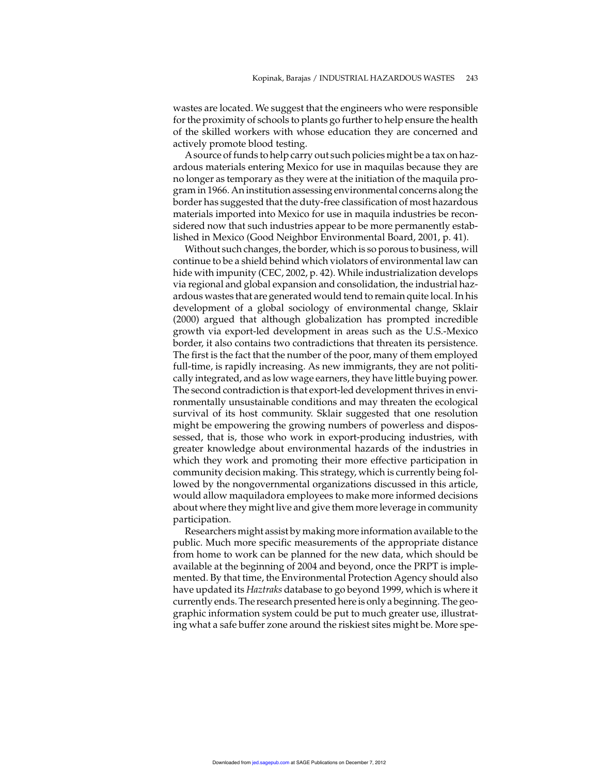wastes are located. We suggest that the engineers who were responsible for the proximity of schools to plants go further to help ensure the health of the skilled workers with whose education they are concerned and actively promote blood testing.

Asource of funds to help carry out such policies might be a tax on hazardous materials entering Mexico for use in maquilas because they are no longer as temporary as they were at the initiation of the maquila program in 1966. An institution assessing environmental concerns along the border has suggested that the duty-free classification of most hazardous materials imported into Mexico for use in maquila industries be reconsidered now that such industries appear to be more permanently established in Mexico (Good Neighbor Environmental Board, 2001, p. 41).

Without such changes, the border, which is so porous to business, will continue to be a shield behind which violators of environmental law can hide with impunity (CEC, 2002, p. 42). While industrialization develops via regional and global expansion and consolidation, the industrial hazardous wastes that are generated would tend to remain quite local. In his development of a global sociology of environmental change, Sklair (2000) argued that although globalization has prompted incredible growth via export-led development in areas such as the U.S.-Mexico border, it also contains two contradictions that threaten its persistence. The first is the fact that the number of the poor, many of them employed full-time, is rapidly increasing. As new immigrants, they are not politically integrated, and as low wage earners, they have little buying power. The second contradiction is that export-led development thrives in environmentally unsustainable conditions and may threaten the ecological survival of its host community. Sklair suggested that one resolution might be empowering the growing numbers of powerless and dispossessed, that is, those who work in export-producing industries, with greater knowledge about environmental hazards of the industries in which they work and promoting their more effective participation in community decision making. This strategy, which is currently being followed by the nongovernmental organizations discussed in this article, would allow maquiladora employees to make more informed decisions about where they might live and give them more leverage in community participation.

Researchers might assist by making more information available to the public. Much more specific measurements of the appropriate distance from home to work can be planned for the new data, which should be available at the beginning of 2004 and beyond, once the PRPT is implemented. By that time, the Environmental Protection Agency should also have updated its *Haztraks* database to go beyond 1999, which is where it currently ends. The research presented here is only a beginning. The geographic information system could be put to much greater use, illustrating what a safe buffer zone around the riskiest sites might be. More spe-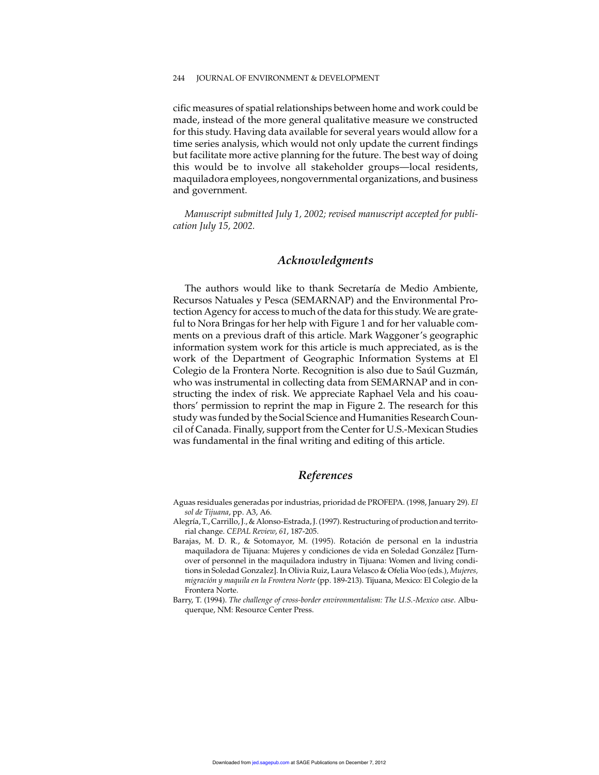cific measures of spatial relationships between home and work could be made, instead of the more general qualitative measure we constructed for this study. Having data available for several years would allow for a time series analysis, which would not only update the current findings but facilitate more active planning for the future. The best way of doing this would be to involve all stakeholder groups—local residents, maquiladora employees, nongovernmental organizations, and business and government.

*Manuscript submitted July 1, 2002; revised manuscript accepted for publication July 15, 2002.*

### *Acknowledgments*

The authors would like to thank Secretaría de Medio Ambiente, Recursos Natuales y Pesca (SEMARNAP) and the Environmental Protection Agency for access to much of the data for this study. We are grateful to Nora Bringas for her help with Figure 1 and for her valuable comments on a previous draft of this article. Mark Waggoner's geographic information system work for this article is much appreciated, as is the work of the Department of Geographic Information Systems at El Colegio de la Frontera Norte. Recognition is also due to Saúl Guzmán, who was instrumental in collecting data from SEMARNAP and in constructing the index of risk. We appreciate Raphael Vela and his coauthors' permission to reprint the map in Figure 2. The research for this study was funded by the Social Science and Humanities Research Council of Canada. Finally, support from the Center for U.S.-Mexican Studies was fundamental in the final writing and editing of this article.

# *References*

- Aguas residuales generadas por industrias, prioridad de PROFEPA. (1998, January 29). *El sol de Tijuana*, pp. A3, A6.
- Alegría, T., Carrillo, J., & Alonso-Estrada, J. (1997). Restructuring of production and territorial change. *CEPAL Review*, *61*, 187-205.
- Barajas, M. D. R., & Sotomayor, M. (1995). Rotación de personal en la industria maquiladora de Tijuana: Mujeres y condiciones de vida en Soledad González [Turnover of personnel in the maquiladora industry in Tijuana: Women and living conditions in Soledad Gonzalez]. In Olivia Ruiz, Laura Velasco & Ofelia Woo (eds.), *Mujeres, migración y maquila en la Frontera Norte* (pp. 189-213). Tijuana, Mexico: El Colegio de la Frontera Norte.
- Barry, T. (1994). *The challenge of cross-border environmentalism: The U.S.-Mexico case*. Albuquerque, NM: Resource Center Press.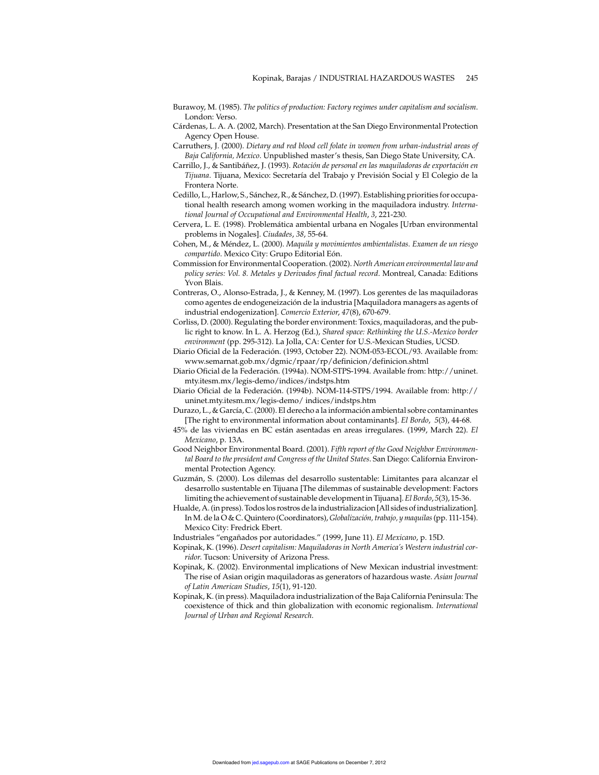- Burawoy, M. (1985). *The politics of production: Factory regimes under capitalism and socialism*. London: Verso.
- Cárdenas, L. A. A. (2002, March). Presentation at the San Diego Environmental Protection Agency Open House.
- Carruthers, J. (2000). *Dietary and red blood cell folate in women from urban-industrial areas of Baja California, Mexico*. Unpublished master's thesis, San Diego State University, CA.
- Carrillo, J., & Santibáñez, J. (1993). *Rotación de personal en las maquiladoras de exportación en Tijuana*. Tijuana, Mexico: Secretaría del Trabajo y Previsión Social y El Colegio de la Frontera Norte.
- Cedillo, L., Harlow, S., Sánchez, R., & Sánchez, D. (1997). Establishing priorities for occupational health research among women working in the maquiladora industry. *International Journal of Occupational and Environmental Health*, *3*, 221-230.
- Cervera, L. E. (1998). Problemática ambiental urbana en Nogales [Urban environmental problems in Nogales]. *Ciudades*, *38*, 55-64.
- Cohen, M., & Méndez, L. (2000). *Maquila y movimientos ambientalistas. Examen de un riesgo compartido*. Mexico City: Grupo Editorial Eón.
- Commission for Environmental Cooperation. (2002). *North American environmental law and policy series: Vol. 8. Metales y Derivados final factual record*. Montreal, Canada: Editions Yvon Blais.
- Contreras, O., Alonso-Estrada, J., & Kenney, M. (1997). Los gerentes de las maquiladoras como agentes de endogeneización de la industria [Maquiladora managers as agents of industrial endogenization]. *Comercio Exterior*, *47*(8), 670-679.
- Corliss, D. (2000). Regulating the border environment: Toxics, maquiladoras, and the public right to know. In L. A. Herzog (Ed.), *Shared space: Rethinking the U.S.-Mexico border environment* (pp. 295-312). La Jolla, CA: Center for U.S.-Mexican Studies, UCSD.
- Diario Oficial de la Federación. (1993, October 22). NOM-053-ECOL/93. Available from: www.semarnat.gob.mx/dgmic/rpaar/rp/definicion/definicion.shtml
- Diario Oficial de la Federación. (1994a). NOM-STPS-1994. Available from: http://uninet. mty.itesm.mx/legis-demo/indices/indstps.htm
- Diario Oficial de la Federación. (1994b). NOM-114-STPS/1994. Available from: http:// uninet.mty.itesm.mx/legis-demo/ indices/indstps.htm
- Durazo, L., & García, C. (2000). El derecho a la información ambiental sobre contaminantes [The right to environmental information about contaminants]. *El Bordo*, *5*(3), 44-68.
- 45% de las viviendas en BC están asentadas en areas irregulares. (1999, March 22). *El Mexicano*, p. 13A.
- Good Neighbor Environmental Board. (2001). *Fifth report of the Good Neighbor Environmental Board to the president and Congress of the United States*. San Diego: California Environmental Protection Agency.
- Guzmán, S. (2000). Los dilemas del desarrollo sustentable: Limitantes para alcanzar el desarrollo sustentable en Tijuana [The dilemmas of sustainable development: Factors limiting the achievement of sustainable development in Tijuana].*El Bordo*, *5*(3), 15-36.
- Hualde, A. (in press). Todos los rostros de la industrializacion [All sides of industrialization]. In M. de la O & C. Quintero (Coordinators), *Globalización, trabajo, y maquilas*(pp. 111-154). Mexico City: Fredrick Ebert.
- Industriales "engañados por autoridades." (1999, June 11). *El Mexicano*, p. 15D.
- Kopinak, K. (1996). *Desert capitalism: Maquiladoras in North America's Western industrial corridor*. Tucson: University of Arizona Press.
- Kopinak, K. (2002). Environmental implications of New Mexican industrial investment: The rise of Asian origin maquiladoras as generators of hazardous waste. *Asian Journal of Latin American Studies*, *15*(1), 91-120.
- Kopinak, K. (in press). Maquiladora industrialization of the Baja California Peninsula: The coexistence of thick and thin globalization with economic regionalism. *International Journal of Urban and Regional Research*.